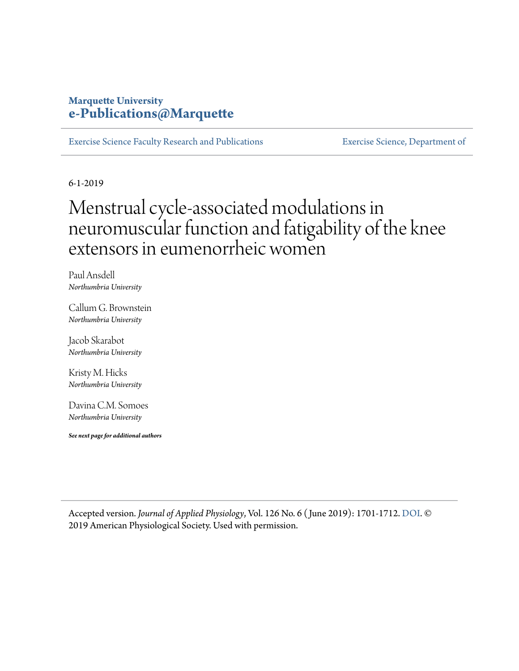## **Marquette University [e-Publications@Marquette](https://epublications.marquette.edu/)**

[Exercise Science Faculty Research and Publications](https://epublications.marquette.edu/exsci_fac) [Exercise Science, Department of](https://epublications.marquette.edu/exsci)

6-1-2019

# Menstrual cycle-associated modulations in neuromuscular function and fatigability of the knee extensors in eumenorrheic women

Paul Ansdell *Northumbria University*

Callum G. Brownstein *Northumbria University*

Jacob Skarabot *Northumbria University*

Kristy M. Hicks *Northumbria University*

Davina C.M. Somoes *Northumbria University*

*See next page for additional authors*

Accepted version. *Journal of Applied Physiology*, Vol. 126 No. 6 ( June 2019): 1701-1712. [DOI.](https://dx.doi.org/10.1152/japplphysiol.01041.2018) © 2019 American Physiological Society. Used with permission.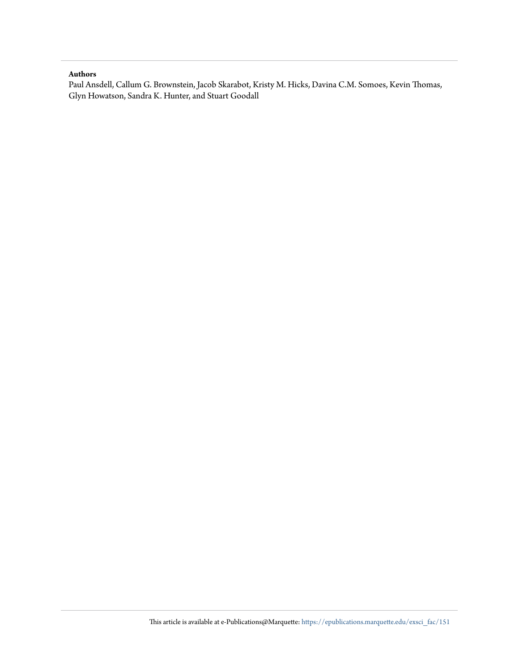#### **Authors**

Paul Ansdell, Callum G. Brownstein, Jacob Skarabot, Kristy M. Hicks, Davina C.M. Somoes, Kevin Thomas, Glyn Howatson, Sandra K. Hunter, and Stuart Goodall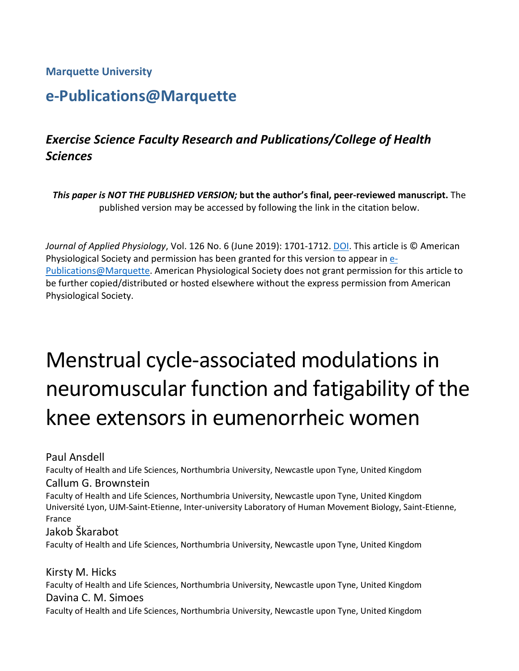#### **Marquette University**

# **e-Publications@Marquette**

# *Exercise Science Faculty Research and Publications/College of Health Sciences*

*This paper is NOT THE PUBLISHED VERSION;* **but the author's final, peer-reviewed manuscript.** The published version may be accessed by following the link in the citation below.

*Journal of Applied Physiology*, Vol. 126 No. 6 (June 2019): 1701-1712. [DOI.](https://dx.doi.org/10.1152/japplphysiol.01041.2018) This article is © American Physiological Society and permission has been granted for this version to appear in [e-](http://epublications.marquette.edu/)[Publications@Marquette.](http://epublications.marquette.edu/) American Physiological Society does not grant permission for this article to be further copied/distributed or hosted elsewhere without the express permission from American Physiological Society.

# Menstrual cycle-associated modulations in neuromuscular function and fatigability of the knee extensors in eumenorrheic women

Paul Ansdell

Faculty of Health and Life Sciences, Northumbria University, Newcastle upon Tyne, United Kingdom Callum G. Brownstein

Faculty of Health and Life Sciences, Northumbria University, Newcastle upon Tyne, United Kingdom Université Lyon, UJM-Saint-Etienne, Inter-university Laboratory of Human Movement Biology, Saint-Etienne, France

#### Jakob Škarabot

Faculty of Health and Life Sciences, Northumbria University, Newcastle upon Tyne, United Kingdom

Kirsty M. Hicks Faculty of Health and Life Sciences, Northumbria University, Newcastle upon Tyne, United Kingdom Davina C. M. Simoes Faculty of Health and Life Sciences, Northumbria University, Newcastle upon Tyne, United Kingdom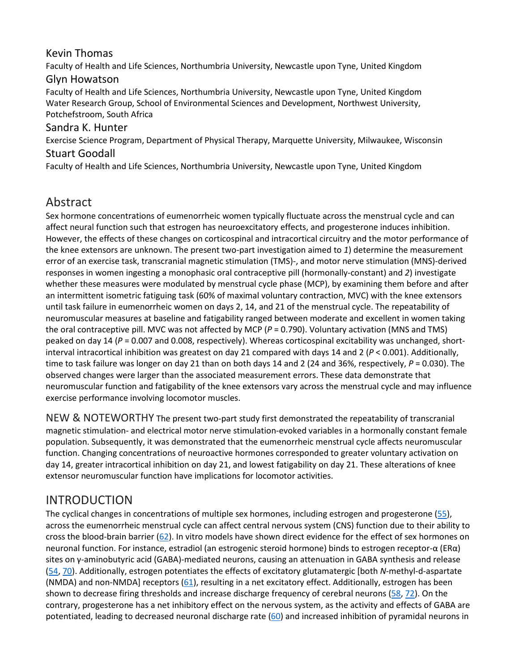#### Kevin Thomas

Faculty of Health and Life Sciences, Northumbria University, Newcastle upon Tyne, United Kingdom Glyn Howatson

Faculty of Health and Life Sciences, Northumbria University, Newcastle upon Tyne, United Kingdom Water Research Group, School of Environmental Sciences and Development, Northwest University, Potchefstroom, South Africa

#### Sandra K. Hunter

Exercise Science Program, Department of Physical Therapy, Marquette University, Milwaukee, Wisconsin

#### Stuart Goodall

Faculty of Health and Life Sciences, Northumbria University, Newcastle upon Tyne, United Kingdom

# Abstract

Sex hormone concentrations of eumenorrheic women typically fluctuate across the menstrual cycle and can affect neural function such that estrogen has neuroexcitatory effects, and progesterone induces inhibition. However, the effects of these changes on corticospinal and intracortical circuitry and the motor performance of the knee extensors are unknown. The present two-part investigation aimed to *1*) determine the measurement error of an exercise task, transcranial magnetic stimulation (TMS)-, and motor nerve stimulation (MNS)-derived responses in women ingesting a monophasic oral contraceptive pill (hormonally-constant) and *2*) investigate whether these measures were modulated by menstrual cycle phase (MCP), by examining them before and after an intermittent isometric fatiguing task (60% of maximal voluntary contraction, MVC) with the knee extensors until task failure in eumenorrheic women on days 2, 14, and 21 of the menstrual cycle. The repeatability of neuromuscular measures at baseline and fatigability ranged between moderate and excellent in women taking the oral contraceptive pill. MVC was not affected by MCP (*P* = 0.790). Voluntary activation (MNS and TMS) peaked on day 14 (*P* = 0.007 and 0.008, respectively). Whereas corticospinal excitability was unchanged, shortinterval intracortical inhibition was greatest on day 21 compared with days 14 and 2 (*P* < 0.001). Additionally, time to task failure was longer on day 21 than on both days 14 and 2 (24 and 36%, respectively, P = 0.030). The observed changes were larger than the associated measurement errors. These data demonstrate that neuromuscular function and fatigability of the knee extensors vary across the menstrual cycle and may influence exercise performance involving locomotor muscles.

NEW & NOTEWORTHY The present two-part study first demonstrated the repeatability of transcranial magnetic stimulation- and electrical motor nerve stimulation-evoked variables in a hormonally constant female population. Subsequently, it was demonstrated that the eumenorrheic menstrual cycle affects neuromuscular function. Changing concentrations of neuroactive hormones corresponded to greater voluntary activation on day 14, greater intracortical inhibition on day 21, and lowest fatigability on day 21. These alterations of knee extensor neuromuscular function have implications for locomotor activities.

# INTRODUCTION

The cyclical changes in concentrations of multiple sex hormones, including estrogen and progesterone [\(55\)](https://www.physiology.org/doi/full/10.1152/japplphysiol.01041.2018#B55), across the eumenorrheic menstrual cycle can affect central nervous system (CNS) function due to their ability to cross the blood-brain barrier [\(62\)](https://www.physiology.org/doi/full/10.1152/japplphysiol.01041.2018#B62). In vitro models have shown direct evidence for the effect of sex hormones on neuronal function. For instance, estradiol (an estrogenic steroid hormone) binds to estrogen receptor-α (ERα) sites on γ-aminobutyric acid (GABA)-mediated neurons, causing an attenuation in GABA synthesis and release [\(54,](https://www.physiology.org/doi/full/10.1152/japplphysiol.01041.2018#B54) [70\)](https://www.physiology.org/doi/full/10.1152/japplphysiol.01041.2018#B70). Additionally, estrogen potentiates the effects of excitatory glutamatergic [both *N*-methyl-d-aspartate (NMDA) and non-NMDA] receptors [\(61\)](https://www.physiology.org/doi/full/10.1152/japplphysiol.01041.2018#B61), resulting in a net excitatory effect. Additionally, estrogen has been shown to decrease firing thresholds and increase discharge frequency of cerebral neurons [\(58,](https://www.physiology.org/doi/full/10.1152/japplphysiol.01041.2018#B58) [72\)](https://www.physiology.org/doi/full/10.1152/japplphysiol.01041.2018#B72). On the contrary, progesterone has a net inhibitory effect on the nervous system, as the activity and effects of GABA are potentiated, leading to decreased neuronal discharge rate [\(60\)](https://www.physiology.org/doi/full/10.1152/japplphysiol.01041.2018#B60) and increased inhibition of pyramidal neurons in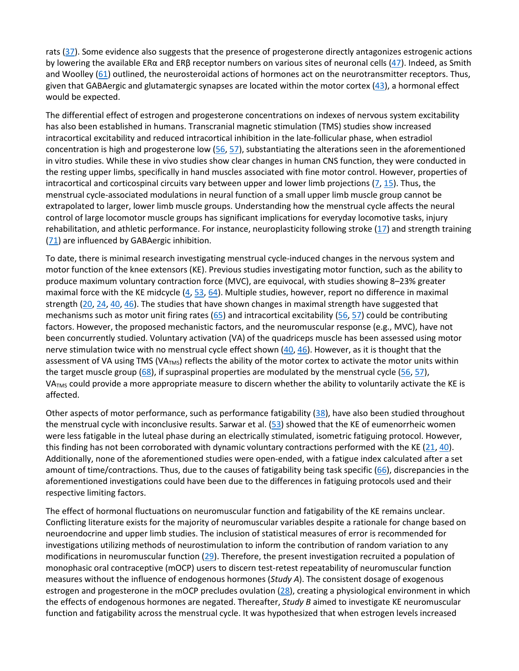rats [\(37\)](https://www.physiology.org/doi/full/10.1152/japplphysiol.01041.2018#B37). Some evidence also suggests that the presence of progesterone directly antagonizes estrogenic actions by lowering the available ER $\alpha$  and ER $\beta$  receptor numbers on various sites of neuronal cells ([47\)](https://www.physiology.org/doi/full/10.1152/japplphysiol.01041.2018#B47). Indeed, as Smith and Woolley  $(61)$  outlined, the neurosteroidal actions of hormones act on the neurotransmitter receptors. Thus, given that GABAergic and glutamatergic synapses are located within the motor cortex  $(43)$ , a hormonal effect would be expected.

The differential effect of estrogen and progesterone concentrations on indexes of nervous system excitability has also been established in humans. Transcranial magnetic stimulation (TMS) studies show increased intracortical excitability and reduced intracortical inhibition in the late-follicular phase, when estradiol concentration is high and progesterone low  $(56, 57)$  $(56, 57)$  $(56, 57)$ , substantiating the alterations seen in the aforementioned in vitro studies. While these in vivo studies show clear changes in human CNS function, they were conducted in the resting upper limbs, specifically in hand muscles associated with fine motor control. However, properties of intracortical and corticospinal circuits vary between upper and lower limb projections [\(7,](https://www.physiology.org/doi/full/10.1152/japplphysiol.01041.2018#B7) [15\)](https://www.physiology.org/doi/full/10.1152/japplphysiol.01041.2018#B15). Thus, the menstrual cycle-associated modulations in neural function of a small upper limb muscle group cannot be extrapolated to larger, lower limb muscle groups. Understanding how the menstrual cycle affects the neural control of large locomotor muscle groups has significant implications for everyday locomotive tasks, injury rehabilitation, and athletic performance. For instance, neuroplasticity following stroke [\(17\)](https://www.physiology.org/doi/full/10.1152/japplphysiol.01041.2018#B17) and strength training [\(71\)](https://www.physiology.org/doi/full/10.1152/japplphysiol.01041.2018#B71) are influenced by GABAergic inhibition.

To date, there is minimal research investigating menstrual cycle-induced changes in the nervous system and motor function of the knee extensors (KE). Previous studies investigating motor function, such as the ability to produce maximum voluntary contraction force (MVC), are equivocal, with studies showing 8–23% greater maximal force with the KE midcycle [\(4,](https://www.physiology.org/doi/full/10.1152/japplphysiol.01041.2018#B4) [53,](https://www.physiology.org/doi/full/10.1152/japplphysiol.01041.2018#B53) [64\)](https://www.physiology.org/doi/full/10.1152/japplphysiol.01041.2018#B64). Multiple studies, however, report no difference in maximal strength [\(20,](https://www.physiology.org/doi/full/10.1152/japplphysiol.01041.2018#B20) [24,](https://www.physiology.org/doi/full/10.1152/japplphysiol.01041.2018#B24) [40,](https://www.physiology.org/doi/full/10.1152/japplphysiol.01041.2018#B40) [46\)](https://www.physiology.org/doi/full/10.1152/japplphysiol.01041.2018#B46). The studies that have shown changes in maximal strength have suggested that mechanisms such as motor unit firing rates  $(65)$  and intracortical excitability [\(56,](https://www.physiology.org/doi/full/10.1152/japplphysiol.01041.2018#B56) [57\)](https://www.physiology.org/doi/full/10.1152/japplphysiol.01041.2018#B57) could be contributing factors. However, the proposed mechanistic factors, and the neuromuscular response (e.g., MVC), have not been concurrently studied. Voluntary activation (VA) of the quadriceps muscle has been assessed using motor nerve stimulation twice with no menstrual cycle effect shown  $(40, 46)$  $(40, 46)$  $(40, 46)$ . However, as it is thought that the assessment of VA using TMS (VA<sub>TMS</sub>) reflects the ability of the motor cortex to activate the motor units within the target muscle group  $(68)$ , if supraspinal properties are modulated by the menstrual cycle ( $\overline{56}$ ,  $\overline{57}$ ), VA<sub>TMS</sub> could provide a more appropriate measure to discern whether the ability to voluntarily activate the KE is affected.

Other aspects of motor performance, such as performance fatigability [\(38\)](https://www.physiology.org/doi/full/10.1152/japplphysiol.01041.2018#B38), have also been studied throughout the menstrual cycle with inconclusive results. Sarwar et al. [\(53\)](https://www.physiology.org/doi/full/10.1152/japplphysiol.01041.2018#B53) showed that the KE of eumenorrheic women were less fatigable in the luteal phase during an electrically stimulated, isometric fatiguing protocol. However, this finding has not been corroborated with dynamic voluntary contractions performed with the KE  $(21, 40)$  $(21, 40)$  $(21, 40)$ . Additionally, none of the aforementioned studies were open-ended, with a fatigue index calculated after a set amount of time/contractions. Thus, due to the causes of fatigability being task specific [\(66\)](https://www.physiology.org/doi/full/10.1152/japplphysiol.01041.2018#B66), discrepancies in the aforementioned investigations could have been due to the differences in fatiguing protocols used and their respective limiting factors.

The effect of hormonal fluctuations on neuromuscular function and fatigability of the KE remains unclear. Conflicting literature exists for the majority of neuromuscular variables despite a rationale for change based on neuroendocrine and upper limb studies. The inclusion of statistical measures of error is recommended for investigations utilizing methods of neurostimulation to inform the contribution of random variation to any modifications in neuromuscular function [\(29\)](https://www.physiology.org/doi/full/10.1152/japplphysiol.01041.2018#B29). Therefore, the present investigation recruited a population of monophasic oral contraceptive (mOCP) users to discern test-retest repeatability of neuromuscular function measures without the influence of endogenous hormones (*Study A*). The consistent dosage of exogenous estrogen and progesterone in the mOCP precludes ovulation [\(28\)](https://www.physiology.org/doi/full/10.1152/japplphysiol.01041.2018#B28), creating a physiological environment in which the effects of endogenous hormones are negated. Thereafter, *Study B* aimed to investigate KE neuromuscular function and fatigability across the menstrual cycle. It was hypothesized that when estrogen levels increased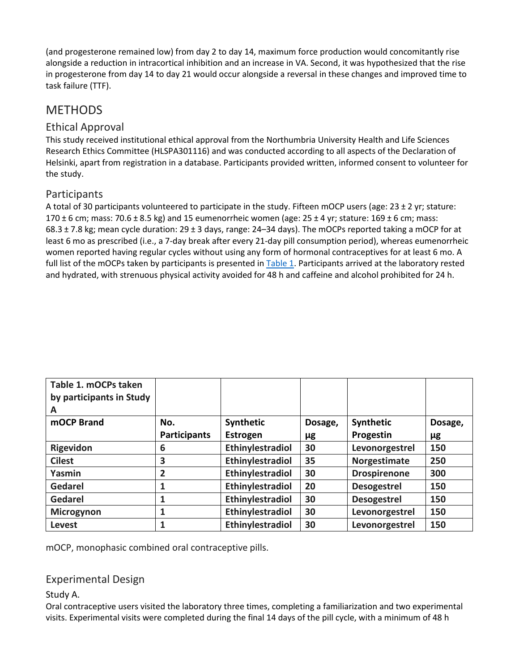(and progesterone remained low) from day 2 to day 14, maximum force production would concomitantly rise alongside a reduction in intracortical inhibition and an increase in VA. Second, it was hypothesized that the rise in progesterone from day 14 to day 21 would occur alongside a reversal in these changes and improved time to task failure (TTF).

# METHODS

#### Ethical Approval

This study received institutional ethical approval from the Northumbria University Health and Life Sciences Research Ethics Committee (HLSPA301116) and was conducted according to all aspects of the Declaration of Helsinki, apart from registration in a database. Participants provided written, informed consent to volunteer for the study.

#### Participants

A total of 30 participants volunteered to participate in the study. Fifteen mOCP users (age: 23 ± 2 yr; stature: 170 ± 6 cm; mass: 70.6 ± 8.5 kg) and 15 eumenorrheic women (age: 25 ± 4 yr; stature: 169 ± 6 cm; mass: 68.3 ± 7.8 kg; mean cycle duration: 29 ± 3 days, range: 24–34 days). The mOCPs reported taking a mOCP for at least 6 mo as prescribed (i.e., a 7-day break after every 21-day pill consumption period), whereas eumenorrheic women reported having regular cycles without using any form of hormonal contraceptives for at least 6 mo. A full list of the mOCPs taken by participants is presented in [Table 1.](https://www.physiology.org/doi/full/10.1152/japplphysiol.01041.2018#T1) Participants arrived at the laboratory rested and hydrated, with strenuous physical activity avoided for 48 h and caffeine and alcohol prohibited for 24 h.

| Table 1. mOCPs taken<br>by participants in Study<br>A |                     |                  |         |                     |         |
|-------------------------------------------------------|---------------------|------------------|---------|---------------------|---------|
| mOCP Brand                                            | No.                 | Synthetic        | Dosage, | Synthetic           | Dosage, |
|                                                       | <b>Participants</b> | Estrogen         | μg      | Progestin           | μg      |
| Rigevidon                                             | 6                   | Ethinylestradiol | 30      | Levonorgestrel      | 150     |
| <b>Cilest</b>                                         | 3                   | Ethinylestradiol | 35      | Norgestimate        | 250     |
| Yasmin                                                | 2                   | Ethinylestradiol | 30      | <b>Drospirenone</b> | 300     |
| <b>Gedarel</b>                                        | 1                   | Ethinylestradiol | 20      | <b>Desogestrel</b>  | 150     |
| Gedarel                                               | 1                   | Ethinylestradiol | 30      | <b>Desogestrel</b>  | 150     |
| Microgynon                                            | 1                   | Ethinylestradiol | 30      | Levonorgestrel      | 150     |
| Levest                                                | 1                   | Ethinylestradiol | 30      | Levonorgestrel      | 150     |

mOCP, monophasic combined oral contraceptive pills.

#### Experimental Design

Study A.

Oral contraceptive users visited the laboratory three times, completing a familiarization and two experimental visits. Experimental visits were completed during the final 14 days of the pill cycle, with a minimum of 48 h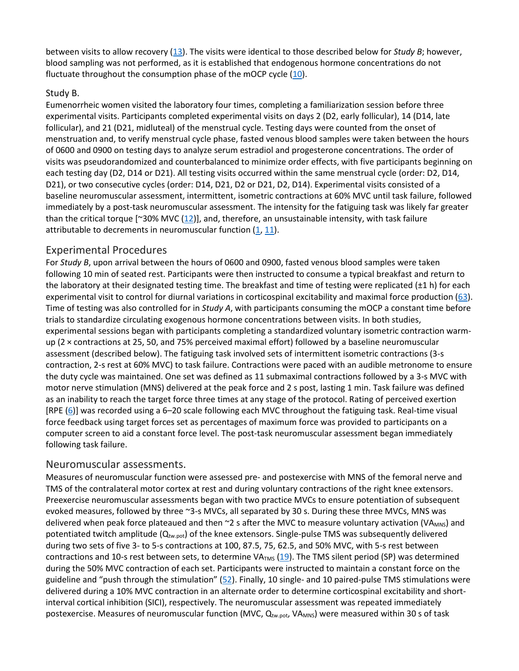between visits to allow recovery [\(13\)](https://www.physiology.org/doi/full/10.1152/japplphysiol.01041.2018#B13). The visits were identical to those described below for *Study B*; however, blood sampling was not performed, as it is established that endogenous hormone concentrations do not fluctuate throughout the consumption phase of the mOCP cycle  $(10)$ .

#### Study B.

Eumenorrheic women visited the laboratory four times, completing a familiarization session before three experimental visits. Participants completed experimental visits on days 2 (D2, early follicular), 14 (D14, late follicular), and 21 (D21, midluteal) of the menstrual cycle. Testing days were counted from the onset of menstruation and, to verify menstrual cycle phase, fasted venous blood samples were taken between the hours of 0600 and 0900 on testing days to analyze serum estradiol and progesterone concentrations. The order of visits was pseudorandomized and counterbalanced to minimize order effects, with five participants beginning on each testing day (D2, D14 or D21). All testing visits occurred within the same menstrual cycle (order: D2, D14, D21), or two consecutive cycles (order: D14, D21, D2 or D21, D2, D14). Experimental visits consisted of a baseline neuromuscular assessment, intermittent, isometric contractions at 60% MVC until task failure, followed immediately by a post-task neuromuscular assessment. The intensity for the fatiguing task was likely far greater than the critical torque [~30% MVC  $(12)$ ], and, therefore, an unsustainable intensity, with task failure attributable to decrements in neuromuscular function  $(1, 11)$  $(1, 11)$  $(1, 11)$ .

#### Experimental Procedures

For *Study B*, upon arrival between the hours of 0600 and 0900, fasted venous blood samples were taken following 10 min of seated rest. Participants were then instructed to consume a typical breakfast and return to the laboratory at their designated testing time. The breakfast and time of testing were replicated (±1 h) for each experimental visit to control for diurnal variations in corticospinal excitability and maximal force production [\(63\)](https://www.physiology.org/doi/full/10.1152/japplphysiol.01041.2018#B63). Time of testing was also controlled for in *Study A*, with participants consuming the mOCP a constant time before trials to standardize circulating exogenous hormone concentrations between visits. In both studies, experimental sessions began with participants completing a standardized voluntary isometric contraction warmup (2 × contractions at 25, 50, and 75% perceived maximal effort) followed by a baseline neuromuscular assessment (described below). The fatiguing task involved sets of intermittent isometric contractions (3-s contraction, 2-s rest at 60% MVC) to task failure. Contractions were paced with an audible metronome to ensure the duty cycle was maintained. One set was defined as 11 submaximal contractions followed by a 3-s MVC with motor nerve stimulation (MNS) delivered at the peak force and 2 s post, lasting 1 min. Task failure was defined as an inability to reach the target force three times at any stage of the protocol. Rating of perceived exertion [RPE [\(6\)](https://www.physiology.org/doi/full/10.1152/japplphysiol.01041.2018#B6)] was recorded using a 6–20 scale following each MVC throughout the fatiguing task. Real-time visual force feedback using target forces set as percentages of maximum force was provided to participants on a computer screen to aid a constant force level. The post-task neuromuscular assessment began immediately following task failure.

#### Neuromuscular assessments.

Measures of neuromuscular function were assessed pre- and postexercise with MNS of the femoral nerve and TMS of the contralateral motor cortex at rest and during voluntary contractions of the right knee extensors. Preexercise neuromuscular assessments began with two practice MVCs to ensure potentiation of subsequent evoked measures, followed by three ~3-s MVCs, all separated by 30 s. During these three MVCs, MNS was delivered when peak force plateaued and then  $\sim$ 2 s after the MVC to measure voluntary activation (VA<sub>MNS</sub>) and potentiated twitch amplitude (Q<sub>tw.pot</sub>) of the knee extensors. Single-pulse TMS was subsequently delivered during two sets of five 3- to 5-s contractions at 100, 87.5, 75, 62.5, and 50% MVC, with 5-s rest between contractions and 10-s rest between sets, to determine VA<sub>TMS</sub> [\(19\)](https://www.physiology.org/doi/full/10.1152/japplphysiol.01041.2018#B19). The TMS silent period (SP) was determined during the 50% MVC contraction of each set. Participants were instructed to maintain a constant force on the guideline and "push through the stimulation"  $(52)$ . Finally, 10 single- and 10 paired-pulse TMS stimulations were delivered during a 10% MVC contraction in an alternate order to determine corticospinal excitability and shortinterval cortical inhibition (SICI), respectively. The neuromuscular assessment was repeated immediately postexercise. Measures of neuromuscular function (MVC, Q<sub>tw.pot</sub>, VA<sub>MNS</sub>) were measured within 30 s of task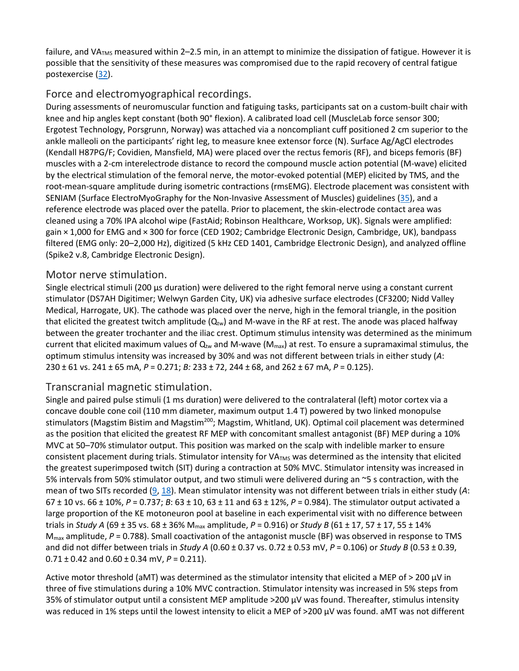failure, and VA $_{TMS}$  measured within 2–2.5 min, in an attempt to minimize the dissipation of fatigue. However it is possible that the sensitivity of these measures was compromised due to the rapid recovery of central fatigue postexercise [\(32\)](https://www.physiology.org/doi/full/10.1152/japplphysiol.01041.2018#B32).

#### Force and electromyographical recordings.

During assessments of neuromuscular function and fatiguing tasks, participants sat on a custom-built chair with knee and hip angles kept constant (both 90° flexion). A calibrated load cell (MuscleLab force sensor 300; Ergotest Technology, Porsgrunn, Norway) was attached via a noncompliant cuff positioned 2 cm superior to the ankle malleoli on the participants' right leg, to measure knee extensor force (N). Surface Ag/AgCl electrodes (Kendall H87PG/F; Covidien, Mansfield, MA) were placed over the rectus femoris (RF), and biceps femoris (BF) muscles with a 2-cm interelectrode distance to record the compound muscle action potential (M-wave) elicited by the electrical stimulation of the femoral nerve, the motor-evoked potential (MEP) elicited by TMS, and the root-mean-square amplitude during isometric contractions (rmsEMG). Electrode placement was consistent with SENIAM (Surface ElectroMyoGraphy for the Non-Invasive Assessment of Muscles) guidelines [\(35\)](https://www.physiology.org/doi/full/10.1152/japplphysiol.01041.2018#B35), and a reference electrode was placed over the patella. Prior to placement, the skin-electrode contact area was cleaned using a 70% IPA alcohol wipe (FastAid; Robinson Healthcare, Worksop, UK). Signals were amplified: gain × 1,000 for EMG and × 300 for force (CED 1902; Cambridge Electronic Design, Cambridge, UK), bandpass filtered (EMG only: 20–2,000 Hz), digitized (5 kHz CED 1401, Cambridge Electronic Design), and analyzed offline (Spike2 v.8, Cambridge Electronic Design).

#### Motor nerve stimulation.

Single electrical stimuli (200 µs duration) were delivered to the right femoral nerve using a constant current stimulator (DS7AH Digitimer; Welwyn Garden City, UK) via adhesive surface electrodes (CF3200; Nidd Valley Medical, Harrogate, UK). The cathode was placed over the nerve, high in the femoral triangle, in the position that elicited the greatest twitch amplitude  $(Q_{tw})$  and M-wave in the RF at rest. The anode was placed halfway between the greater trochanter and the iliac crest. Optimum stimulus intensity was determined as the minimum current that elicited maximum values of  $Q_{tw}$  and M-wave (M<sub>max</sub>) at rest. To ensure a supramaximal stimulus, the optimum stimulus intensity was increased by 30% and was not different between trials in either study (*A*: 230 ± 61 vs. 241 ± 65 mA, *P* = 0.271; *B:* 233 ± 72, 244 ± 68, and 262 ± 67 mA, *P* = 0.125).

#### Transcranial magnetic stimulation.

Single and paired pulse stimuli (1 ms duration) were delivered to the contralateral (left) motor cortex via a concave double cone coil (110 mm diameter, maximum output 1.4 T) powered by two linked monopulse stimulators (Magstim Bistim and Magstim<sup>200</sup>; Magstim, Whitland, UK). Optimal coil placement was determined as the position that elicited the greatest RF MEP with concomitant smallest antagonist (BF) MEP during a 10% MVC at 50–70% stimulator output. This position was marked on the scalp with indelible marker to ensure consistent placement during trials. Stimulator intensity for VATMS was determined as the intensity that elicited the greatest superimposed twitch (SIT) during a contraction at 50% MVC. Stimulator intensity was increased in 5% intervals from 50% stimulator output, and two stimuli were delivered during an ~5 s contraction, with the mean of two SITs recorded [\(9,](https://www.physiology.org/doi/full/10.1152/japplphysiol.01041.2018#B9) [18\)](https://www.physiology.org/doi/full/10.1152/japplphysiol.01041.2018#B18). Mean stimulator intensity was not different between trials in either study (*A*: 67 ± 10 vs. 66 ± 10%, *P* = 0.737; *B*: 63 ± 10, 63 ± 11 and 63 ± 12%, *P* = 0.984). The stimulator output activated a large proportion of the KE motoneuron pool at baseline in each experimental visit with no difference between trials in *Study A* (69 ± 35 vs. 68 ± 36% Mmax amplitude, *P* = 0.916) or *Study B* (61 ± 17, 57 ± 17, 55 ± 14% M<sub>max</sub> amplitude, *P* = 0.788). Small coactivation of the antagonist muscle (BF) was observed in response to TMS and did not differ between trials in *Study A* (0.60 ± 0.37 vs. 0.72 ± 0.53 mV, *P* = 0.106) or *Study B* (0.53 ± 0.39, 0.71 ± 0.42 and 0.60 ± 0.34 mV, *P* = 0.211).

Active motor threshold (aMT) was determined as the stimulator intensity that elicited a MEP of > 200 µV in three of five stimulations during a 10% MVC contraction. Stimulator intensity was increased in 5% steps from 35% of stimulator output until a consistent MEP amplitude >200 μV was found. Thereafter, stimulus intensity was reduced in 1% steps until the lowest intensity to elicit a MEP of >200 μV was found. aMT was not different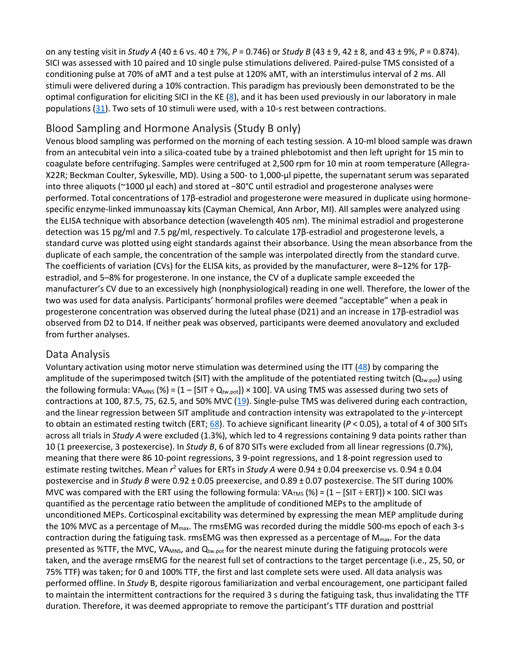on any testing visit in *Study A* (40 ± 6 vs. 40 ± 7%, *P* = 0.746) or *Study B* (43 ± 9, 42 ± 8, and 43 ± 9%, *P* = 0.874). SICI was assessed with 10 paired and 10 single pulse stimulations delivered. Paired-pulse TMS consisted of a conditioning pulse at 70% of aMT and a test pulse at 120% aMT, with an interstimulus interval of 2 ms. All stimuli were delivered during a 10% contraction. This paradigm has previously been demonstrated to be the optimal configuration for eliciting SICI in the KE [\(8\)](https://www.physiology.org/doi/full/10.1152/japplphysiol.01041.2018#B8), and it has been used previously in our laboratory in male populations [\(31\)](https://www.physiology.org/doi/full/10.1152/japplphysiol.01041.2018#B31). Two sets of 10 stimuli were used, with a 10-s rest between contractions.

#### Blood Sampling and Hormone Analysis (Study B only)

Venous blood sampling was performed on the morning of each testing session. A 10-ml blood sample was drawn from an antecubital vein into a silica-coated tube by a trained phlebotomist and then left upright for 15 min to coagulate before centrifuging. Samples were centrifuged at 2,500 rpm for 10 min at room temperature (Allegra-X22R; Beckman Coulter, Sykesville, MD). Using a 500- to 1,000-µl pipette, the supernatant serum was separated into three aliquots (~1000 µl each) and stored at −80°C until estradiol and progesterone analyses were performed. Total concentrations of 17β-estradiol and progesterone were measured in duplicate using hormonespecific enzyme-linked immunoassay kits (Cayman Chemical, Ann Arbor, MI). All samples were analyzed using the ELISA technique with absorbance detection (wavelength 405 nm). The minimal estradiol and progesterone detection was 15 pg/ml and 7.5 pg/ml, respectively. To calculate 17β-estradiol and progesterone levels, a standard curve was plotted using eight standards against their absorbance. Using the mean absorbance from the duplicate of each sample, the concentration of the sample was interpolated directly from the standard curve. The coefficients of variation (CVs) for the ELISA kits, as provided by the manufacturer, were 8–12% for 17βestradiol, and 5–8% for progesterone. In one instance, the CV of a duplicate sample exceeded the manufacturer's CV due to an excessively high (nonphysiological) reading in one well. Therefore, the lower of the two was used for data analysis. Participants' hormonal profiles were deemed "acceptable" when a peak in progesterone concentration was observed during the luteal phase (D21) and an increase in 17β-estradiol was observed from D2 to D14. If neither peak was observed, participants were deemed anovulatory and excluded from further analyses.

#### Data Analysis

Voluntary activation using motor nerve stimulation was determined using the ITT  $(48)$  by comparing the amplitude of the superimposed twitch (SIT) with the amplitude of the potentiated resting twitch ( $Q_{tw,oot}$ ) using the following formula: VA<sub>MNS</sub> (%) =  $(1 - [SIT + Q_{tw, pot}]) \times 100$ . VA using TMS was assessed during two sets of contractions at 100, 87.5, 75, 62.5, and 50% MVC  $(19)$ . Single-pulse TMS was delivered during each contraction, and the linear regression between SIT amplitude and contraction intensity was extrapolated to the *y*-intercept to obtain an estimated resting twitch (ERT; [68\)](https://www.physiology.org/doi/full/10.1152/japplphysiol.01041.2018#B68). To achieve significant linearity (*P* < 0.05), a total of 4 of 300 SITs across all trials in *Study A* were excluded (1.3%), which led to 4 regressions containing 9 data points rather than 10 (1 preexercise, 3 postexercise). In *Study B*, 6 of 870 SITs were excluded from all linear regressions (0.7%), meaning that there were 86 10-point regressions, 3 9-point regressions, and 1 8-point regression used to estimate resting twitches. Mean  $r^2$  values for ERTs in *Study A* were 0.94 ± 0.04 preexercise vs. 0.94 ± 0.04 postexercise and in *Study B* were 0.92 ± 0.05 preexercise, and 0.89 ± 0.07 postexercise. The SIT during 100% MVC was compared with the ERT using the following formula:  $V_{\text{ATMS}}$  (%) = (1 – [SIT ÷ ERT]) × 100. SICI was quantified as the percentage ratio between the amplitude of conditioned MEPs to the amplitude of unconditioned MEPs. Corticospinal excitability was determined by expressing the mean MEP amplitude during the 10% MVC as a percentage of M<sub>max</sub>. The rmsEMG was recorded during the middle 500-ms epoch of each 3-s contraction during the fatiguing task. rmsEMG was then expressed as a percentage of  $M_{\text{max}}$ . For the data presented as %TTF, the MVC, VA<sub>MNS</sub>, and  $Q_{tw, pot}$  for the nearest minute during the fatiguing protocols were taken, and the average rmsEMG for the nearest full set of contractions to the target percentage (i.e., 25, 50, or 75% TTF) was taken; for 0 and 100% TTF, the first and last complete sets were used. All data analysis was performed offline. In *Study* B, despite rigorous familiarization and verbal encouragement, one participant failed to maintain the intermittent contractions for the required 3 s during the fatiguing task, thus invalidating the TTF duration. Therefore, it was deemed appropriate to remove the participant's TTF duration and posttrial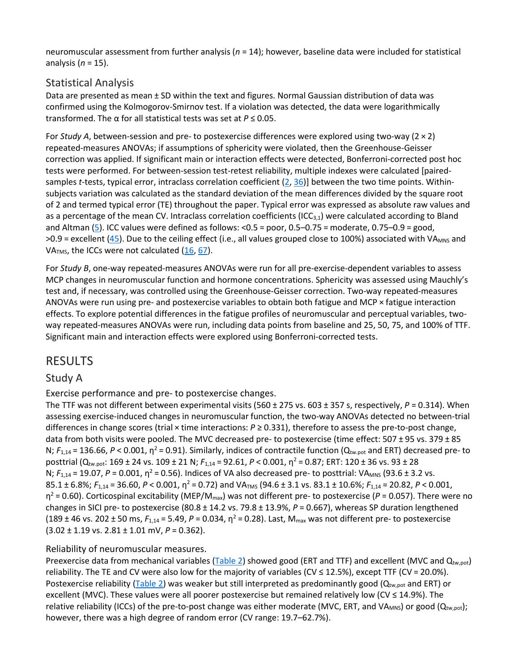neuromuscular assessment from further analysis (*n* = 14); however, baseline data were included for statistical analysis (*n* = 15).

#### Statistical Analysis

Data are presented as mean ± SD within the text and figures. Normal Gaussian distribution of data was confirmed using the Kolmogorov-Smirnov test. If a violation was detected, the data were logarithmically transformed. The α for all statistical tests was set at *P* ≤ 0.05.

For *Study A*, between-session and pre- to postexercise differences were explored using two-way (2 × 2) repeated-measures ANOVAs; if assumptions of sphericity were violated, then the Greenhouse-Geisser correction was applied. If significant main or interaction effects were detected, Bonferroni-corrected post hoc tests were performed. For between-session test-retest reliability, multiple indexes were calculated [pairedsamples *t*-tests, typical error, intraclass correlation coefficient [\(2,](https://www.physiology.org/doi/full/10.1152/japplphysiol.01041.2018#B2) [36\)](https://www.physiology.org/doi/full/10.1152/japplphysiol.01041.2018#B36)] between the two time points. Withinsubjects variation was calculated as the standard deviation of the mean differences divided by the square root of 2 and termed typical error (TE) throughout the paper. Typical error was expressed as absolute raw values and as a percentage of the mean CV. Intraclass correlation coefficients (ICC $_{3,1}$ ) were calculated according to Bland and Altman [\(5\)](https://www.physiology.org/doi/full/10.1152/japplphysiol.01041.2018#B5). ICC values were defined as follows: <0.5 = poor, 0.5–0.75 = moderate, 0.75–0.9 = good,  $>0.9$  = excellent ([45\)](https://www.physiology.org/doi/full/10.1152/japplphysiol.01041.2018#B45). Due to the ceiling effect (i.e., all values grouped close to 100%) associated with VA<sub>MNS</sub> and VA<sub>TMS</sub>, the ICCs were not calculated  $(16, 67)$  $(16, 67)$  $(16, 67)$ .

For *Study B*, one-way repeated-measures ANOVAs were run for all pre-exercise-dependent variables to assess MCP changes in neuromuscular function and hormone concentrations. Sphericity was assessed using Mauchly's test and, if necessary, was controlled using the Greenhouse-Geisser correction. Two-way repeated-measures ANOVAs were run using pre- and postexercise variables to obtain both fatigue and MCP × fatigue interaction effects. To explore potential differences in the fatigue profiles of neuromuscular and perceptual variables, twoway repeated-measures ANOVAs were run, including data points from baseline and 25, 50, 75, and 100% of TTF. Significant main and interaction effects were explored using Bonferroni-corrected tests.

## RESULTS

#### Study A

Exercise performance and pre- to postexercise changes.

The TTF was not different between experimental visits (560 ± 275 vs. 603 ± 357 s, respectively, *P* = 0.314). When assessing exercise-induced changes in neuromuscular function, the two-way ANOVAs detected no between-trial differences in change scores (trial × time interactions: *P* ≥ 0.331), therefore to assess the pre-to-post change, data from both visits were pooled. The MVC decreased pre- to postexercise (time effect: 507 ± 95 vs. 379 ± 85 N;  $F_{1,14}$  = 136.66, P < 0.001,  $\eta^2$  = 0.91). Similarly, indices of contractile function (Q<sub>tw.pot</sub> and ERT) decreased pre- to posttrial (Qtw.pot: 169 ± 24 vs. 109 ± 21 N; *F*1,14 = 92.61, *P* < 0.001, η<sup>2</sup> = 0.87; ERT: 120 ± 36 vs. 93 ± 28 N; *F*<sub>1,14</sub> = 19.07, *P* = 0.001, η<sup>2</sup> = 0.56). Indices of VA also decreased pre- to posttrial: VA<sub>MNS</sub> (93.6 ± 3.2 vs. 85.1 ± 6.8%; *F*1,14 = 36.60, *P* < 0.001, η<sup>2</sup> = 0.72) and VATMS (94.6 ± 3.1 vs. 83.1 ± 10.6%; *F*1,14 = 20.82, *P* < 0.001, η<sup>2</sup> = 0.60). Corticospinal excitability (MEP/Mmax) was not different pre- to postexercise (*P* = 0.057). There were no changes in SICI pre- to postexercise (80.8 ± 14.2 vs. 79.8 ± 13.9%, *P* = 0.667), whereas SP duration lengthened (189 ± 46 vs. 202 ± 50 ms,  $F_{1,14}$  = 5.49,  $P$  = 0.034,  $\eta^2$  = 0.28). Last, M<sub>max</sub> was not different pre- to postexercise (3.02 ± 1.19 vs. 2.81 ± 1.01 mV, *P* = 0.362).

#### Reliability of neuromuscular measures.

Preexercise data from mechanical variables [\(Table 2\)](https://www.physiology.org/doi/full/10.1152/japplphysiol.01041.2018#T2) showed good (ERT and TTF) and excellent (MVC and  $Q_{tw,pot}$ ) reliability. The TE and CV were also low for the majority of variables (CV ≤ 12.5%), except TTF (CV = 20.0%). Postexercise reliability [\(Table 2\)](https://www.physiology.org/doi/full/10.1152/japplphysiol.01041.2018#T2) was weaker but still interpreted as predominantly good ( $Q_{\text{tw,pot}}$  and ERT) or excellent (MVC). These values were all poorer postexercise but remained relatively low (CV ≤ 14.9%). The relative reliability (ICCs) of the pre-to-post change was either moderate (MVC, ERT, and VA<sub>MNS</sub>) or good (Q<sub>tw,pot</sub>); however, there was a high degree of random error (CV range: 19.7–62.7%).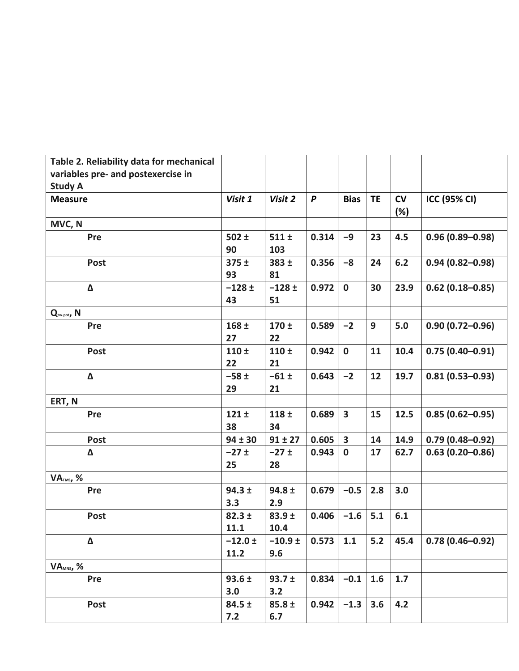| Table 2. Reliability data for mechanical |                  |                   |       |                         |           |           |                     |
|------------------------------------------|------------------|-------------------|-------|-------------------------|-----------|-----------|---------------------|
| variables pre- and postexercise in       |                  |                   |       |                         |           |           |                     |
| <b>Study A</b>                           |                  |                   |       |                         |           |           |                     |
| <b>Measure</b>                           | Visit 1          | Visit 2           | P     | <b>Bias</b>             | <b>TE</b> | CV<br>(%) | <b>ICC (95% CI)</b> |
| MVC, N                                   |                  |                   |       |                         |           |           |                     |
| Pre                                      | $502 \pm$        | $511 \pm$         | 0.314 | $-9$                    | 23        | 4.5       | $0.96(0.89 - 0.98)$ |
|                                          | 90               | 103               |       |                         |           |           |                     |
| <b>Post</b>                              | $375 \pm$        | 383 ±             | 0.356 | $-8$                    | 24        | 6.2       | $0.94(0.82 - 0.98)$ |
|                                          | 93               | 81                |       |                         |           |           |                     |
| Δ                                        | $-128 \pm$       | $-128 \pm$        | 0.972 | $\mathbf 0$             | 30        | 23.9      | $0.62(0.18 - 0.85)$ |
|                                          | 43               | 51                |       |                         |           |           |                     |
| Q <sub>tw.pot</sub> , N                  |                  |                   |       |                         |           |           |                     |
| Pre                                      | 168 <sub>±</sub> | 170±              | 0.589 | $-2$                    | 9         | 5.0       | $0.90(0.72 - 0.96)$ |
|                                          | 27               | 22                |       |                         |           |           |                     |
| <b>Post</b>                              | 110 <sub>±</sub> | 110 <sub>±</sub>  | 0.942 | $\mathbf 0$             | 11        | 10.4      | $0.75(0.40 - 0.91)$ |
|                                          | 22               | 21                |       |                         |           |           |                     |
| Δ                                        | $-58±$           | $-61 \pm$         | 0.643 | $-2$                    | 12        | 19.7      | $0.81(0.53 - 0.93)$ |
|                                          | 29               | 21                |       |                         |           |           |                     |
| ERT, N                                   |                  |                   |       |                         |           |           |                     |
| Pre                                      | $121 \pm$        | 118±              | 0.689 | $\overline{\mathbf{3}}$ | 15        | 12.5      | $0.85(0.62 - 0.95)$ |
|                                          | 38               | 34                |       |                         |           |           |                     |
| <b>Post</b>                              | $94 \pm 30$      | $91 \pm 27$       | 0.605 | $\overline{\mathbf{3}}$ | 14        | 14.9      | $0.79(0.48 - 0.92)$ |
| Δ                                        | $-27±$           | $-27±$            | 0.943 | $\mathbf 0$             | 17        | 62.7      | $0.63(0.20 - 0.86)$ |
|                                          | 25               | 28                |       |                         |           |           |                     |
| <b>VATMS, %</b>                          |                  |                   |       |                         |           |           |                     |
| Pre                                      | $94.3 \pm$       | $94.8 \pm$        | 0.679 | $-0.5$                  | 2.8       | 3.0       |                     |
|                                          | 3.3              | 2.9               |       |                         |           |           |                     |
| <b>Post</b>                              | $82.3 \pm$       | 83.9 <sub>±</sub> | 0.406 | $-1.6$                  | 5.1       | 6.1       |                     |
|                                          | 11.1             | 10.4              |       |                         |           |           |                     |
| Δ                                        | $-12.0 \pm$      | $-10.9 \pm$       | 0.573 | 1.1                     | $5.2$     | 45.4      | $0.78(0.46 - 0.92)$ |
|                                          | 11.2             | 9.6               |       |                         |           |           |                     |
| VA <sub>MNS</sub> , %                    |                  |                   |       |                         |           |           |                     |
| Pre                                      | $93.6 \pm$       | $93.7 \pm$        | 0.834 | $-0.1$                  | 1.6       | 1.7       |                     |
|                                          | 3.0              | 3.2               |       |                         |           |           |                     |
| Post                                     | $84.5 \pm$       | $85.8 \pm$        | 0.942 | $-1.3$                  | 3.6       | 4.2       |                     |
|                                          | 7.2              | 6.7               |       |                         |           |           |                     |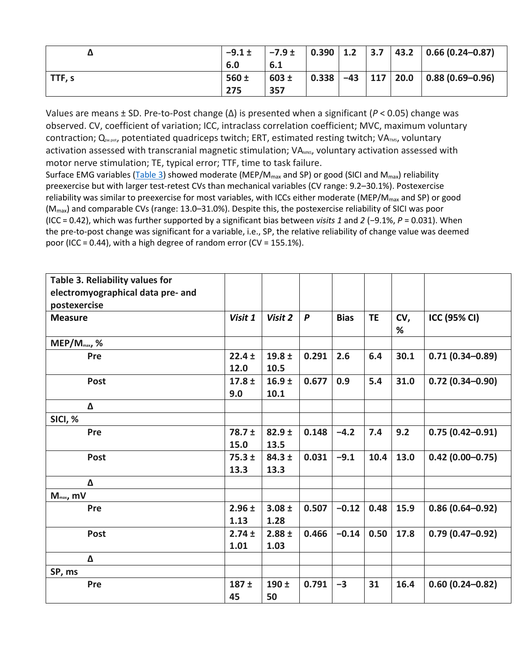| Δ      | $-9.1 \pm$ | $-7.9 \pm$ | 0.390 1.2 |       | 3.7 | 43.2 | $0.66(0.24 - 0.87)$      |
|--------|------------|------------|-----------|-------|-----|------|--------------------------|
|        | 6.0        | 6.1        |           |       |     |      |                          |
| TTF, s | $560 \pm$  | $603 \pm$  | 0.338     | $-43$ | 117 | 20.0 | $\vert$ 0.88 (0.69-0.96) |
|        | 275        | 357        |           |       |     |      |                          |

Values are means ± SD. Pre-to-Post change (Δ) is presented when a significant (*P* < 0.05) change was observed. CV, coefficient of variation; ICC, intraclass correlation coefficient; MVC, maximum voluntary contraction; Q<sub>tw.pot</sub>, potentiated quadriceps twitch; ERT, estimated resting twitch; VA<sub>TMS</sub>, voluntary activation assessed with transcranial magnetic stimulation; VA<sub>MNS</sub>, voluntary activation assessed with motor nerve stimulation; TE, typical error; TTF, time to task failure.

Surface EMG variables [\(Table 3\)](https://www.physiology.org/doi/full/10.1152/japplphysiol.01041.2018#T3) showed moderate (MEP/M<sub>max</sub> and SP) or good (SICI and M<sub>max</sub>) reliability preexercise but with larger test-retest CVs than mechanical variables (CV range: 9.2–30.1%). Postexercise reliability was similar to preexercise for most variables, with ICCs either moderate (MEP/M<sub>max</sub> and SP) or good (Mmax) and comparable CVs (range: 13.0–31.0%). Despite this, the postexercise reliability of SICI was poor (ICC = 0.42), which was further supported by a significant bias between *visits 1* and *2* (−9.1%, *P* = 0.031). When the pre-to-post change was significant for a variable, i.e., SP, the relative reliability of change value was deemed poor (ICC = 0.44), with a high degree of random error (CV = 155.1%).

| Table 3. Reliability values for   |            |                   |                  |             |           |      |                     |
|-----------------------------------|------------|-------------------|------------------|-------------|-----------|------|---------------------|
| electromyographical data pre- and |            |                   |                  |             |           |      |                     |
| postexercise                      |            |                   |                  |             |           |      |                     |
| <b>Measure</b>                    | Visit 1    | Visit 2           | $\boldsymbol{P}$ | <b>Bias</b> | <b>TE</b> | CV,  | <b>ICC (95% CI)</b> |
|                                   |            |                   |                  |             |           | %    |                     |
| $MEP/M_{max}$ , %                 |            |                   |                  |             |           |      |                     |
| Pre                               | $22.4 \pm$ | $19.8 \pm$        | 0.291            | 2.6         | 6.4       | 30.1 | $0.71(0.34 - 0.89)$ |
|                                   | 12.0       | 10.5              |                  |             |           |      |                     |
| <b>Post</b>                       | $17.8 \pm$ | 16.9 <sub>±</sub> | 0.677            | 0.9         | 5.4       | 31.0 | $0.72(0.34 - 0.90)$ |
|                                   | 9.0        | 10.1              |                  |             |           |      |                     |
| Δ                                 |            |                   |                  |             |           |      |                     |
| SICI, %                           |            |                   |                  |             |           |      |                     |
| Pre                               | $78.7 \pm$ | 82.9 <sub>±</sub> | 0.148            | $-4.2$      | 7.4       | 9.2  | $0.75(0.42 - 0.91)$ |
|                                   | 15.0       | 13.5              |                  |             |           |      |                     |
| Post                              | $75.3 \pm$ | $84.3 \pm$        | 0.031            | $-9.1$      | 10.4      | 13.0 | $0.42(0.00 - 0.75)$ |
|                                   | 13.3       | 13.3              |                  |             |           |      |                     |
| Δ                                 |            |                   |                  |             |           |      |                     |
| $M_{\text{max}}$ , mV             |            |                   |                  |             |           |      |                     |
| Pre                               | $2.96 \pm$ | $3.08 \pm$        | 0.507            | $-0.12$     | 0.48      | 15.9 | $0.86(0.64 - 0.92)$ |
|                                   | 1.13       | 1.28              |                  |             |           |      |                     |
| <b>Post</b>                       | $2.74 \pm$ | $2.88 \pm$        | 0.466            | $-0.14$     | 0.50      | 17.8 | $0.79(0.47 - 0.92)$ |
|                                   | 1.01       | 1.03              |                  |             |           |      |                     |
| Δ                                 |            |                   |                  |             |           |      |                     |
| SP, ms                            |            |                   |                  |             |           |      |                     |
| Pre                               | $187 +$    | 190 <sub>±</sub>  | 0.791            | $-3$        | 31        | 16.4 | $0.60(0.24 - 0.82)$ |
|                                   | 45         | 50                |                  |             |           |      |                     |
|                                   |            |                   |                  |             |           |      |                     |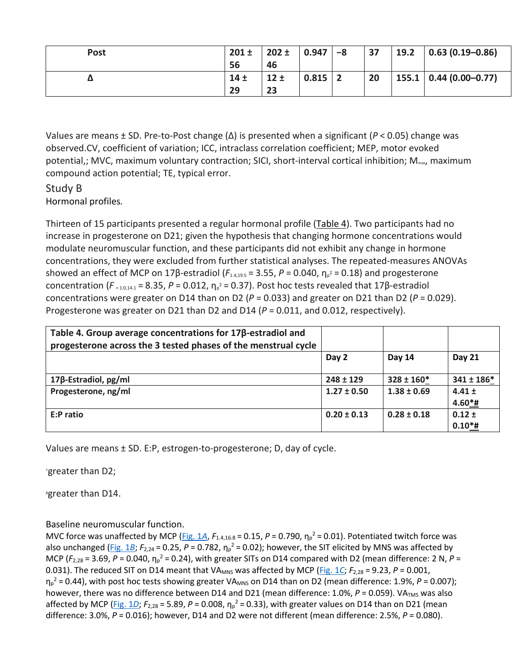| <b>Post</b> | $201 \pm$       | $202 \pm$ | 0.947 | -8 | 37 | 19.2 | $0.63(0.19 - 0.86)$                  |
|-------------|-----------------|-----------|-------|----|----|------|--------------------------------------|
|             | 56              | 46        |       |    |    |      |                                      |
| Δ           | 14 <sub>±</sub> | 12±       | 0.815 |    | 20 |      | $155.1 \mid 0.44 \mid (0.00 - 0.77)$ |
|             | 29              | 23        |       |    |    |      |                                      |

Values are means ± SD. Pre-to-Post change (Δ) is presented when a significant (*P* < 0.05) change was observed.CV, coefficient of variation; ICC, intraclass correlation coefficient; MEP, motor evoked potential,; MVC, maximum voluntary contraction; SICI, short-interval cortical inhibition;  $M_{\text{max}}$ , maximum compound action potential; TE, typical error.

# Study B

Hormonal profiles*.*

Thirteen of 15 participants presented a regular hormonal profile [\(Table 4\)](https://www.physiology.org/doi/full/10.1152/japplphysiol.01041.2018#T4). Two participants had no increase in progesterone on D21; given the hypothesis that changing hormone concentrations would modulate neuromuscular function, and these participants did not exhibit any change in hormone concentrations, they were excluded from further statistical analyses. The repeated-measures ANOVAs showed an effect of MCP on 17β-estradiol ( $F_{1.4,19.5}$  = 3.55,  $P$  = 0.040,  $η<sub>p</sub><sup>2</sup>$  = 0.18) and progesterone concentration ( $F_{=1.0,14.1}$  = 8.35,  $P = 0.012$ ,  $η<sub>p</sub><sup>2</sup> = 0.37$ ). Post hoc tests revealed that 17β-estradiol concentrations were greater on D14 than on D2 (*P* = 0.033) and greater on D21 than D2 (*P* = 0.029). Progesterone was greater on D21 than D2 and D14 (*P* = 0.011, and 0.012, respectively).

| Table 4. Group average concentrations for $17\beta$ -estradiol and<br>progesterone across the 3 tested phases of the menstrual cycle |                 |                 |                         |
|--------------------------------------------------------------------------------------------------------------------------------------|-----------------|-----------------|-------------------------|
|                                                                                                                                      | Day 2           | Day 14          | <b>Day 21</b>           |
| $17\beta$ -Estradiol, pg/ml                                                                                                          | $248 \pm 129$   | $328 \pm 160*$  | $341 \pm 186*$          |
| Progesterone, ng/ml                                                                                                                  | $1.27 \pm 0.50$ | $1.38 \pm 0.69$ | $4.41 \pm$<br>$4.60*$ # |
| E:P ratio                                                                                                                            | $0.20 \pm 0.13$ | $0.28 \pm 0.18$ | $0.12 \pm$<br>$0.10*$ # |

Values are means ± SD. E:P, estrogen-to-progesterone; D, day of cycle.

\*greater than D2;

#greater than D14.

Baseline neuromuscular function.

MVC force was unaffected by MCP ( $Fig. 1A$ ,  $F_{1.4,16.8}$  = 0.15,  $P$  = 0.790,  $\eta_p^2$  = 0.01). Potentiated twitch force was also unchanged [\(Fig. 1](https://www.physiology.org/doi/full/10.1152/japplphysiol.01041.2018#F0001)B; *F*<sub>2,24</sub> = 0.25, *P* = 0.782,  $\eta_p^2$  = 0.02); however, the SIT elicited by MNS was affected by MCP ( $F_{2,28}$  = 3.69, P = 0.040,  $\eta_p^2$  = 0.24), with greater SITs on D14 compared with D2 (mean difference: 2 N, P = 0.031). The reduced SIT on D14 meant that VA<sub>MNS</sub> was affected by MCP [\(Fig. 1](https://www.physiology.org/doi/full/10.1152/japplphysiol.01041.2018#F0001)C;  $F_{2,28}$  = 9.23,  $P$  = 0.001, η<sub>p</sub><sup>2</sup> = 0.44), with post hoc tests showing greater VA<sub>MNS</sub> on D14 than on D2 (mean difference: 1.9%, *P* = 0.007); however, there was no difference between D14 and D21 (mean difference: 1.0%, P = 0.059). VA<sub>TMS</sub> was also affected by MCP (*Fig. 1D*;  $F_{2,28}$  = 5.89,  $P$  = 0.008,  $\eta_p^2$  = 0.33), with greater values on D14 than on D21 (mean difference: 3.0%, *P* = 0.016); however, D14 and D2 were not different (mean difference: 2.5%, *P* = 0.080).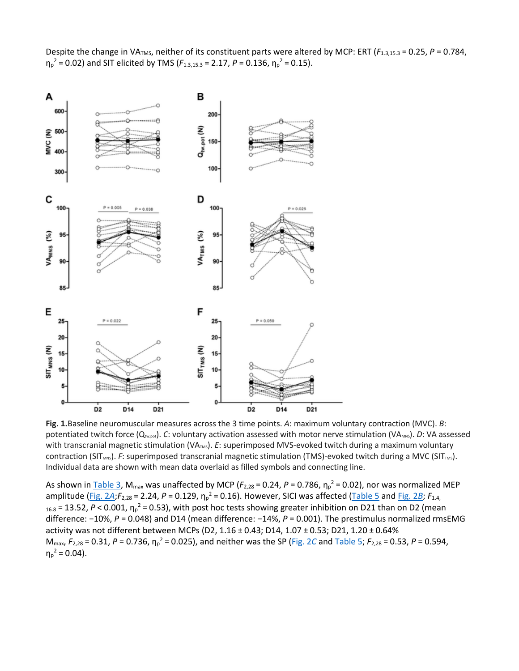Despite the change in VA<sub>TMS</sub>, neither of its constituent parts were altered by MCP: ERT ( $F_{1.3,15.3}$  = 0.25, P = 0.784,  $\eta_p^2$  = 0.02) and SIT elicited by TMS ( $F_{1.3,15.3}$  = 2.17, P = 0.136,  $\eta_p^2$  = 0.15).



**Fig. 1.**Baseline neuromuscular measures across the 3 time points. *A*: maximum voluntary contraction (MVC). *B*: potentiated twitch force (Q<sub>tw.pot</sub>). *C*: voluntary activation assessed with motor nerve stimulation (VA<sub>MNS</sub>). *D*: VA assessed with transcranial magnetic stimulation (VA<sub>TMS</sub>). *E*: superimposed MVS-evoked twitch during a maximum voluntary contraction (SIT<sub>MNS</sub>). *F*: superimposed transcranial magnetic stimulation (TMS)-evoked twitch during a MVC (SIT<sub>TMS</sub>). Individual data are shown with mean data overlaid as filled symbols and connecting line.

As shown in <u>Table 3</u>, M<sub>max</sub> was unaffected by MCP ( $F_{2,28}$  = 0.24, P = 0.786,  $\eta_p^2$  = 0.02), nor was normalized MEP amplitude [\(Fig. 2](https://www.physiology.org/doi/full/10.1152/japplphysiol.01041.2018#F0002)A;F<sub>2,28</sub> = 2.24, P = 0.129, η<sub>p</sub><sup>2</sup> = 0.16). However, SICI was affected ([Table 5](https://www.physiology.org/doi/full/10.1152/japplphysiol.01041.2018#T5) and [Fig. 2](https://www.physiology.org/doi/full/10.1152/japplphysiol.01041.2018#F0002)B; F<sub>1.4,</sub> <sub>16.8</sub> = 13.52, P < 0.001, η<sub>p</sub><sup>2</sup> = 0.53), with post hoc tests showing greater inhibition on D21 than on D2 (mean difference: −10%, *P* = 0.048) and D14 (mean difference: −14%, *P* = 0.001). The prestimulus normalized rmsEMG activity was not different between MCPs (D2, 1.16 ± 0.43; D14, 1.07 ± 0.53; D21, 1.20 ± 0.64% Mmax, *F*2,28 = 0.31, *P* = 0.736, η<sup>p</sup> <sup>2</sup> = 0.025), and neither was the SP [\(Fig. 2](https://www.physiology.org/doi/full/10.1152/japplphysiol.01041.2018#F0002)*C* and [Table 5](https://www.physiology.org/doi/full/10.1152/japplphysiol.01041.2018#T5); *F*2,28 = 0.53, *P* = 0.594,  $\eta_p^2$  = 0.04).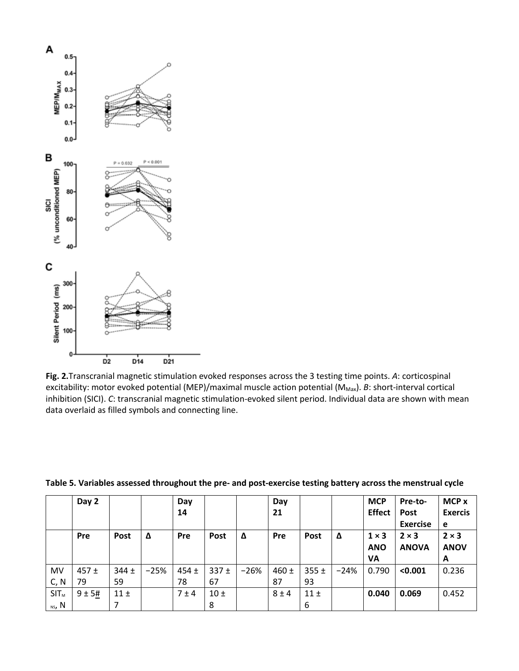

**Fig. 2.**Transcranial magnetic stimulation evoked responses across the 3 testing time points. *A*: corticospinal excitability: motor evoked potential (MEP)/maximal muscle action potential (M<sub>Max</sub>). *B*: short-interval cortical inhibition (SICI). *C*: transcranial magnetic stimulation-evoked silent period. Individual data are shown with mean data overlaid as filled symbols and connecting line.

|                   | Day 2         |                 |        | Day<br>14       |               |        | Day<br>21       |                 |        | <b>MCP</b><br><b>Effect</b>      | Pre-to-<br><b>Post</b><br><b>Exercise</b> | MCP x<br><b>Exercis</b><br>e     |
|-------------------|---------------|-----------------|--------|-----------------|---------------|--------|-----------------|-----------------|--------|----------------------------------|-------------------------------------------|----------------------------------|
|                   | <b>Pre</b>    | Post            | Δ      | Pre             | <b>Post</b>   | Δ      | Pre             | <b>Post</b>     | Δ      | $1 \times 3$<br><b>ANO</b><br>VA | $2 \times 3$<br><b>ANOVA</b>              | $2 \times 3$<br><b>ANOV</b><br>A |
| <b>MV</b><br>C, N | $457 +$<br>79 | $344 \pm$<br>59 | $-25%$ | $454 \pm$<br>78 | $337 +$<br>67 | $-26%$ | $460 \pm$<br>87 | $355 \pm$<br>93 | $-24%$ | 0.790                            | < 0.001                                   | 0.236                            |
| $SIT_M$<br>ns, N  | 9±5#          | 11±             |        | 7±4             | 10±<br>8      |        | $8 \pm 4$       | 11±<br>6        |        | 0.040                            | 0.069                                     | 0.452                            |

**Table 5. Variables assessed throughout the pre- and post-exercise testing battery across the menstrual cycle**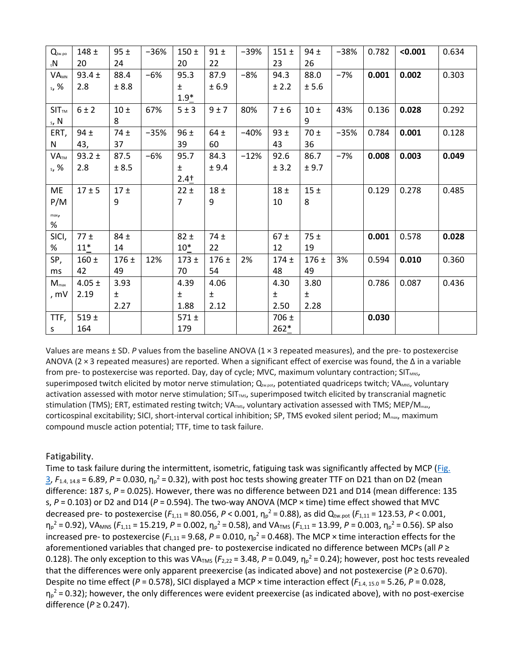| $Q_{\text{tw.po}}$     | $148 +$    | 95±      | $-36%$ | $150 +$   | 91±      | $-39%$ | $151 +$   | $94 \pm$ | $-38%$ | 0.782 | < 0.001 | 0.634 |
|------------------------|------------|----------|--------|-----------|----------|--------|-----------|----------|--------|-------|---------|-------|
| $N_{\rm t}$            | 20         | 24       |        | 20        | 22       |        | 23        | 26       |        |       |         |       |
| <b>VA<sub>MN</sub></b> | $93.4 \pm$ | 88.4     | $-6%$  | 95.3      | 87.9     | $-8%$  | 94.3      | 88.0     | $-7%$  | 0.001 | 0.002   | 0.303 |
| s, %                   | 2.8        | ± 8.8    |        | $\pm$     | ± 6.9    |        | ± 2.2     | ± 5.6    |        |       |         |       |
|                        |            |          |        | $1.9*$    |          |        |           |          |        |       |         |       |
| SIT <sub>TM</sub>      | 6 ± 2      | 10±      | 67%    | 5±3       | 9±7      | 80%    | $7 \pm 6$ | 10±      | 43%    | 0.136 | 0.028   | 0.292 |
| s, N                   |            | 8        |        |           |          |        |           | 9        |        |       |         |       |
| ERT,                   | $94 \pm$   | $74 \pm$ | $-35%$ | 96±       | $64 \pm$ | $-40%$ | 93±       | 70±      | $-35%$ | 0.784 | 0.001   | 0.128 |
| ${\sf N}$              | 43,        | 37       |        | 39        | 60       |        | 43        | 36       |        |       |         |       |
| VA <sub>TM</sub>       | $93.2 \pm$ | 87.5     | $-6%$  | 95.7      | 84.3     | $-12%$ | 92.6      | 86.7     | $-7%$  | 0.008 | 0.003   | 0.049 |
| s, %                   | 2.8        | ± 8.5    |        | ±.        | ± 9.4    |        | ± 3.2     | ± 9.7    |        |       |         |       |
|                        |            |          |        | $2.4+$    |          |        |           |          |        |       |         |       |
| ME                     | $17 + 5$   | 17±      |        | 22±       | 18±      |        | 18±       | 15±      |        | 0.129 | 0.278   | 0.485 |
| P/M                    |            | 9        |        | 7         | 9        |        | 10        | 8        |        |       |         |       |
| max <sub>j</sub>       |            |          |        |           |          |        |           |          |        |       |         |       |
| %                      |            |          |        |           |          |        |           |          |        |       |         |       |
| SICI,                  | $77 \pm$   | $84 \pm$ |        | $82 \pm$  | 74 $±$   |        | $67 \pm$  | 75±      |        | 0.001 | 0.578   | 0.028 |
| %                      | $11*$      | 14       |        | $10*$     | 22       |        | 12        | 19       |        |       |         |       |
| SP,                    | $160 \pm$  | $176 +$  | 12%    | $173 +$   | $176 +$  | 2%     | $174 +$   | $176 +$  | 3%     | 0.594 | 0.010   | 0.360 |
| ms                     | 42         | 49       |        | 70        | 54       |        | 48        | 49       |        |       |         |       |
| $M_{\text{max}}$       | $4.05 \pm$ | 3.93     |        | 4.39      | 4.06     |        | 4.30      | 3.80     |        | 0.786 | 0.087   | 0.436 |
| , mV                   | 2.19       | $\pm$    |        | $\pm$     | $\pm$    |        | $\pm$     | ±.       |        |       |         |       |
|                        |            | 2.27     |        | 1.88      | 2.12     |        | 2.50      | 2.28     |        |       |         |       |
| TTF,                   | 519±       |          |        | $571 \pm$ |          |        | $706 \pm$ |          |        | 0.030 |         |       |
| S                      | 164        |          |        | 179       |          |        | $262*$    |          |        |       |         |       |

Values are means ± SD. *P* values from the baseline ANOVA (1 × 3 repeated measures), and the pre- to postexercise ANOVA (2 × 3 repeated measures) are reported. When a significant effect of exercise was found, the Δ in a variable from pre- to postexercise was reported. Day, day of cycle; MVC, maximum voluntary contraction; SITMNS, superimposed twitch elicited by motor nerve stimulation;  $Q_{two, pot}$ , potentiated quadriceps twitch; VA<sub>MNS</sub>, voluntary activation assessed with motor nerve stimulation; SIT<sub>TMS</sub>, superimposed twitch elicited by transcranial magnetic stimulation (TMS); ERT, estimated resting twitch; VATMS, voluntary activation assessed with TMS; MEP/M<sub>max</sub>, corticospinal excitability; SICI, short-interval cortical inhibition; SP, TMS evoked silent period;  $M_{\text{max}}$ , maximum compound muscle action potential; TTF, time to task failure.

#### Fatigability.

Time to task failure during the intermittent, isometric, fatiguing task was significantly affected by MCP (Fig.  $3$ ,  $F_{1.4, 14.8}$  = 6.89, P = 0.030,  $\eta_p^2$  = 0.32), with post hoc tests showing greater TTF on D21 than on D2 (mean difference: 187 s, *P* = 0.025). However, there was no difference between D21 and D14 (mean difference: 135 s, *P* = 0.103) or D2 and D14 (*P* = 0.594). The two-way ANOVA (MCP × time) time effect showed that MVC decreased pre- to postexercise (*F*1,11 = 80.056, *P* < 0.001, η<sup>p</sup> <sup>2</sup> = 0.88), as did Qtw.pot (*F*1,11 = 123.53, *P* < 0.001,  $η<sub>p</sub><sup>2</sup> = 0.92$ ), VA<sub>MNS</sub> ( $F<sub>1,11</sub> = 15.219$ ,  $P = 0.002$ ,  $η<sub>p</sub><sup>2</sup> = 0.58$ ), and VA<sub>TMS</sub> ( $F<sub>1,11</sub> = 13.99$ ,  $P = 0.003$ ,  $η<sub>p</sub><sup>2</sup> = 0.56$ ). SP also increased pre- to postexercise ( $F_{1,11}$  = 9.68, P = 0.010,  $\eta_p^2$  = 0.468). The MCP × time interaction effects for the aforementioned variables that changed pre- to postexercise indicated no difference between MCPs (all *P* ≥ 0.128). The only exception to this was VA<sub>TMS</sub> ( $F_{2,22}$  = 3.48,  $P$  = 0.049,  $\eta_p^2$  = 0.24); however, post hoc tests revealed that the differences were only apparent preexercise (as indicated above) and not postexercise ( $P \ge 0.670$ ). Despite no time effect (*P* = 0.578), SICI displayed a MCP × time interaction effect ( $F_{1.4, 15.0}$  = 5.26, *P* = 0.028,  $\eta_p^2$  = 0.32); however, the only differences were evident preexercise (as indicated above), with no post-exercise difference (*P* ≥ 0.247).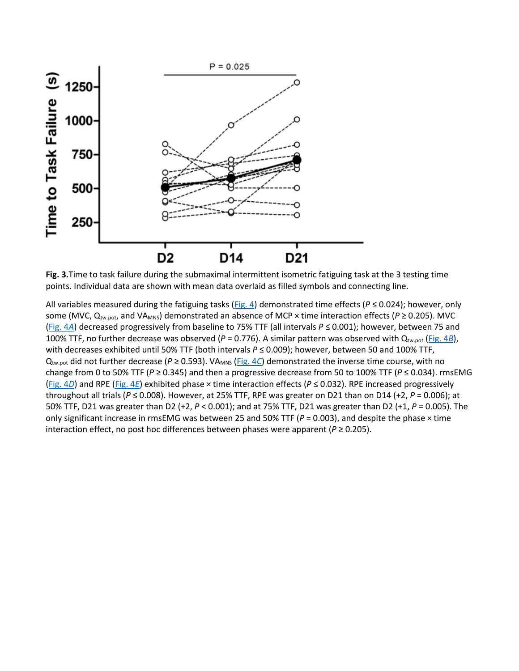

**Fig. 3.**Time to task failure during the submaximal intermittent isometric fatiguing task at the 3 testing time points. Individual data are shown with mean data overlaid as filled symbols and connecting line.

All variables measured during the fatiguing tasks [\(Fig. 4\)](https://www.physiology.org/doi/full/10.1152/japplphysiol.01041.2018#F0004) demonstrated time effects ( $P \le 0.024$ ); however, only some (MVC, Q<sub>tw.pot</sub>, and VA<sub>MNS</sub>) demonstrated an absence of MCP × time interaction effects (*P* ≥ 0.205). MVC [\(Fig. 4](https://www.physiology.org/doi/full/10.1152/japplphysiol.01041.2018#F0004)*A*) decreased progressively from baseline to 75% TTF (all intervals *P* ≤ 0.001); however, between 75 and 100% TTF, no further decrease was observed ( $P = 0.776$ ). A similar pattern was observed with Q<sub>tw.pot</sub> [\(Fig. 4](https://www.physiology.org/doi/full/10.1152/japplphysiol.01041.2018#F0004)*B*), with decreases exhibited until 50% TTF (both intervals *P* ≤ 0.009); however, between 50 and 100% TTF,  $Q_{\text{tw,pot}}$  did not further decrease ( $P \ge 0.593$ ). VA<sub>MNS</sub> [\(Fig. 4](https://www.physiology.org/doi/full/10.1152/japplphysiol.01041.2018#F0004)C) demonstrated the inverse time course, with no change from 0 to 50% TTF (*P* ≥ 0.345) and then a progressive decrease from 50 to 100% TTF (*P* ≤ 0.034). rmsEMG [\(Fig. 4](https://www.physiology.org/doi/full/10.1152/japplphysiol.01041.2018#F0004)*D*) and RPE [\(Fig. 4](https://www.physiology.org/doi/full/10.1152/japplphysiol.01041.2018#F0004)*E*) exhibited phase × time interaction effects (*P* ≤ 0.032). RPE increased progressively throughout all trials (*P* ≤ 0.008). However, at 25% TTF, RPE was greater on D21 than on D14 (+2, *P* = 0.006); at 50% TTF, D21 was greater than D2 (+2, *P* < 0.001); and at 75% TTF, D21 was greater than D2 (+1, *P* = 0.005). The only significant increase in rmsEMG was between 25 and 50% TTF ( $P = 0.003$ ), and despite the phase  $\times$  time interaction effect, no post hoc differences between phases were apparent ( $P \ge 0.205$ ).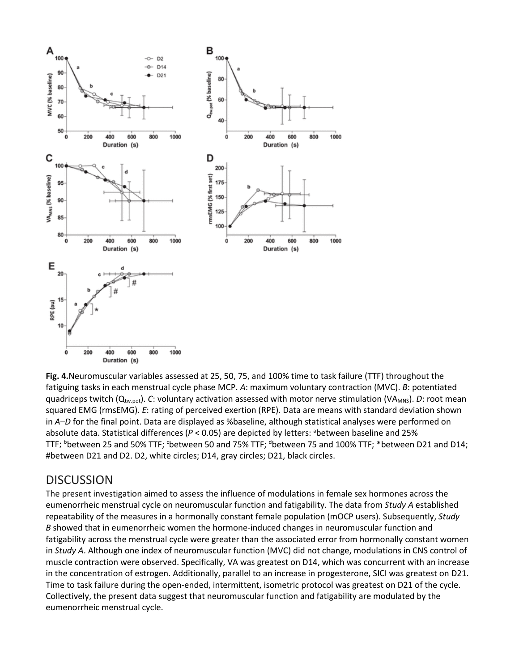

**Fig. 4.**Neuromuscular variables assessed at 25, 50, 75, and 100% time to task failure (TTF) throughout the fatiguing tasks in each menstrual cycle phase MCP. *A*: maximum voluntary contraction (MVC). *B*: potentiated quadriceps twitch (Q<sub>tw.pot</sub>). *C*: voluntary activation assessed with motor nerve stimulation (VA<sub>MNS</sub>). *D*: root mean squared EMG (rmsEMG). *E*: rating of perceived exertion (RPE). Data are means with standard deviation shown in *A–D* for the final point. Data are displayed as %baseline, although statistical analyses were performed on absolute data. Statistical differences (P < 0.05) are depicted by letters: <sup>a</sup>between baseline and 25% TTF; <sup>b</sup>between 25 and 50% TTF; <sup>c</sup>between 50 and 75% TTF; <sup>d</sup>between 75 and 100% TTF; \*between D21 and D14; #between D21 and D2. D2, white circles; D14, gray circles; D21, black circles.

#### **DISCUSSION**

The present investigation aimed to assess the influence of modulations in female sex hormones across the eumenorrheic menstrual cycle on neuromuscular function and fatigability. The data from *Study A* established repeatability of the measures in a hormonally constant female population (mOCP users). Subsequently, *Study B* showed that in eumenorrheic women the hormone-induced changes in neuromuscular function and fatigability across the menstrual cycle were greater than the associated error from hormonally constant women in *Study A*. Although one index of neuromuscular function (MVC) did not change, modulations in CNS control of muscle contraction were observed. Specifically, VA was greatest on D14, which was concurrent with an increase in the concentration of estrogen. Additionally, parallel to an increase in progesterone, SICI was greatest on D21. Time to task failure during the open-ended, intermittent, isometric protocol was greatest on D21 of the cycle. Collectively, the present data suggest that neuromuscular function and fatigability are modulated by the eumenorrheic menstrual cycle.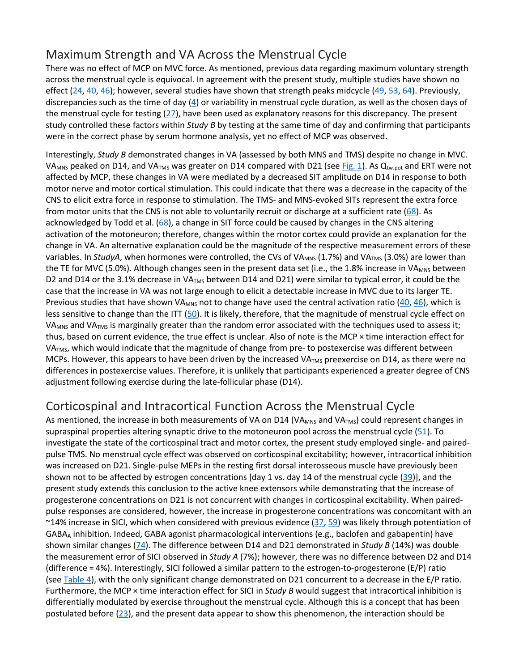# Maximum Strength and VA Across the Menstrual Cycle

There was no effect of MCP on MVC force. As mentioned, previous data regarding maximum voluntary strength across the menstrual cycle is equivocal. In agreement with the present study, multiple studies have shown no effect [\(24,](https://www.physiology.org/doi/full/10.1152/japplphysiol.01041.2018#B24) [40,](https://www.physiology.org/doi/full/10.1152/japplphysiol.01041.2018#B40) [46](https://www.physiology.org/doi/full/10.1152/japplphysiol.01041.2018#B46)); however, several studies have shown that strength peaks midcycle ([49,](https://www.physiology.org/doi/full/10.1152/japplphysiol.01041.2018#B49) [53,](https://www.physiology.org/doi/full/10.1152/japplphysiol.01041.2018#B53) [64\)](https://www.physiology.org/doi/full/10.1152/japplphysiol.01041.2018#B64). Previously, discrepancies such as the time of day  $(4)$  or variability in menstrual cycle duration, as well as the chosen days of the menstrual cycle for testing [\(27\)](https://www.physiology.org/doi/full/10.1152/japplphysiol.01041.2018#B27), have been used as explanatory reasons for this discrepancy. The present study controlled these factors within *Study B* by testing at the same time of day and confirming that participants were in the correct phase by serum hormone analysis, yet no effect of MCP was observed.

Interestingly, *Study B* demonstrated changes in VA (assessed by both MNS and TMS) despite no change in MVC. VA<sub>MNS</sub> peaked on D14, and VA<sub>TMS</sub> was greater on D14 compared with D21 (see [Fig. 1\)](https://www.physiology.org/doi/full/10.1152/japplphysiol.01041.2018#F0001). As Q<sub>tw.pot</sub> and ERT were not affected by MCP, these changes in VA were mediated by a decreased SIT amplitude on D14 in response to both motor nerve and motor cortical stimulation. This could indicate that there was a decrease in the capacity of the CNS to elicit extra force in response to stimulation. The TMS- and MNS-evoked SITs represent the extra force from motor units that the CNS is not able to voluntarily recruit or discharge at a sufficient rate [\(68\)](https://www.physiology.org/doi/full/10.1152/japplphysiol.01041.2018#B68). As acknowledged by Todd et al. [\(68\)](https://www.physiology.org/doi/full/10.1152/japplphysiol.01041.2018#B68), a change in SIT force could be caused by changes in the CNS altering activation of the motoneuron; therefore, changes within the motor cortex could provide an explanation for the change in VA. An alternative explanation could be the magnitude of the respective measurement errors of these variables. In *StudyA*, when hormones were controlled, the CVs of VA<sub>MNS</sub> (1.7%) and VA<sub>TMS</sub> (3.0%) are lower than the TE for MVC (5.0%). Although changes seen in the present data set (i.e., the 1.8% increase in VA<sub>MNS</sub> between D2 and D14 or the 3.1% decrease in VATMS between D14 and D21) were similar to typical error, it could be the case that the increase in VA was not large enough to elicit a detectable increase in MVC due to its larger TE. Previous studies that have shown VA<sub>MNS</sub> not to change have used the central activation ratio  $(40, 46)$  $(40, 46)$  $(40, 46)$ , which is less sensitive to change than the ITT [\(50\)](https://www.physiology.org/doi/full/10.1152/japplphysiol.01041.2018#B50). It is likely, therefore, that the magnitude of menstrual cycle effect on VA<sub>MNS</sub> and VA<sub>TMS</sub> is marginally greater than the random error associated with the techniques used to assess it; thus, based on current evidence, the true effect is unclear. Also of note is the MCP × time interaction effect for VA<sub>TMS</sub>, which would indicate that the magnitude of change from pre- to postexercise was different between MCPs. However, this appears to have been driven by the increased VA<sub>TMS</sub> preexercise on D14, as there were no differences in postexercise values. Therefore, it is unlikely that participants experienced a greater degree of CNS adjustment following exercise during the late-follicular phase (D14).

# Corticospinal and Intracortical Function Across the Menstrual Cycle

As mentioned, the increase in both measurements of VA on D14 (VA<sub>MNS</sub> and VA<sub>TMS</sub>) could represent changes in supraspinal properties altering synaptic drive to the motoneuron pool across the menstrual cycle [\(51\)](https://www.physiology.org/doi/full/10.1152/japplphysiol.01041.2018#B51). To investigate the state of the corticospinal tract and motor cortex, the present study employed single- and pairedpulse TMS. No menstrual cycle effect was observed on corticospinal excitability; however, intracortical inhibition was increased on D21. Single-pulse MEPs in the resting first dorsal interosseous muscle have previously been shown not to be affected by estrogen concentrations [day 1 vs. day 14 of the menstrual cycle [\(39\)](https://www.physiology.org/doi/full/10.1152/japplphysiol.01041.2018#B39)], and the present study extends this conclusion to the active knee extensors while demonstrating that the increase of progesterone concentrations on D21 is not concurrent with changes in corticospinal excitability. When pairedpulse responses are considered, however, the increase in progesterone concentrations was concomitant with an ~14% increase in SICI, which when considered with previous evidence [\(37,](https://www.physiology.org/doi/full/10.1152/japplphysiol.01041.2018#B37) [59\)](https://www.physiology.org/doi/full/10.1152/japplphysiol.01041.2018#B59) was likely through potentiation of GABAA inhibition. Indeed, GABA agonist pharmacological interventions (e.g., baclofen and gabapentin) have shown similar changes [\(74\)](https://www.physiology.org/doi/full/10.1152/japplphysiol.01041.2018#B74). The difference between D14 and D21 demonstrated in *Study B* (14%) was double the measurement error of SICI observed in *Study A* (7%); however, there was no difference between D2 and D14 (difference = 4%). Interestingly, SICI followed a similar pattern to the estrogen-to-progesterone (E/P) ratio (see [Table 4\)](https://www.physiology.org/doi/full/10.1152/japplphysiol.01041.2018#T4), with the only significant change demonstrated on D21 concurrent to a decrease in the E/P ratio. Furthermore, the MCP × time interaction effect for SICI in *Study B* would suggest that intracortical inhibition is differentially modulated by exercise throughout the menstrual cycle. Although this is a concept that has been postulated before [\(23\)](https://www.physiology.org/doi/full/10.1152/japplphysiol.01041.2018#B23), and the present data appear to show this phenomenon, the interaction should be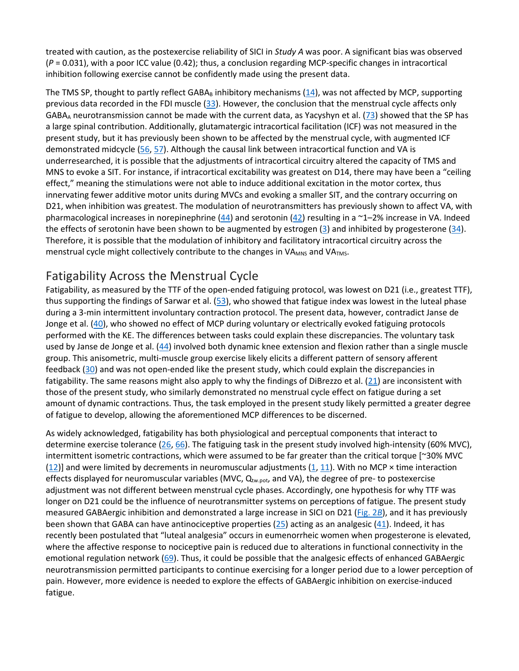treated with caution, as the postexercise reliability of SICI in *Study A* was poor. A significant bias was observed (*P* = 0.031), with a poor ICC value (0.42); thus, a conclusion regarding MCP-specific changes in intracortical inhibition following exercise cannot be confidently made using the present data.

The TMS SP, thought to partly reflect GABA $_B$  inhibitory mechanisms [\(14\)](https://www.physiology.org/doi/full/10.1152/japplphysiol.01041.2018#B14), was not affected by MCP, supporting previous data recorded in the FDI muscle [\(33\)](https://www.physiology.org/doi/full/10.1152/japplphysiol.01041.2018#B33). However, the conclusion that the menstrual cycle affects only GABA<sub>A</sub> neurotransmission cannot be made with the current data, as Yacyshyn et al. ( $73$ ) showed that the SP has a large spinal contribution. Additionally, glutamatergic intracortical facilitation (ICF) was not measured in the present study, but it has previously been shown to be affected by the menstrual cycle, with augmented ICF demonstrated midcycle [\(56,](https://www.physiology.org/doi/full/10.1152/japplphysiol.01041.2018#B56) [57\)](https://www.physiology.org/doi/full/10.1152/japplphysiol.01041.2018#B57). Although the causal link between intracortical function and VA is underresearched, it is possible that the adjustments of intracortical circuitry altered the capacity of TMS and MNS to evoke a SIT. For instance, if intracortical excitability was greatest on D14, there may have been a "ceiling effect," meaning the stimulations were not able to induce additional excitation in the motor cortex, thus innervating fewer additive motor units during MVCs and evoking a smaller SIT, and the contrary occurring on D21, when inhibition was greatest. The modulation of neurotransmitters has previously shown to affect VA, with pharmacological increases in norepinephrine [\(44\)](https://www.physiology.org/doi/full/10.1152/japplphysiol.01041.2018#B44) and serotonin [\(42\)](https://www.physiology.org/doi/full/10.1152/japplphysiol.01041.2018#B42) resulting in a  $\sim$ 1–2% increase in VA. Indeed the effects of serotonin have been shown to be augmented by estrogen [\(3\)](https://www.physiology.org/doi/full/10.1152/japplphysiol.01041.2018#B3) and inhibited by progesterone [\(34\)](https://www.physiology.org/doi/full/10.1152/japplphysiol.01041.2018#B34). Therefore, it is possible that the modulation of inhibitory and facilitatory intracortical circuitry across the menstrual cycle might collectively contribute to the changes in VA<sub>MNS</sub> and VA<sub>TMS</sub>.

# Fatigability Across the Menstrual Cycle

Fatigability, as measured by the TTF of the open-ended fatiguing protocol, was lowest on D21 (i.e., greatest TTF), thus supporting the findings of Sarwar et al. [\(53\)](https://www.physiology.org/doi/full/10.1152/japplphysiol.01041.2018#B53), who showed that fatigue index was lowest in the luteal phase during a 3-min intermittent involuntary contraction protocol. The present data, however, contradict Janse de Jonge et al. [\(40\)](https://www.physiology.org/doi/full/10.1152/japplphysiol.01041.2018#B40), who showed no effect of MCP during voluntary or electrically evoked fatiguing protocols performed with the KE. The differences between tasks could explain these discrepancies. The voluntary task used by Janse de Jonge et al. [\(44\)](https://www.physiology.org/doi/full/10.1152/japplphysiol.01041.2018#B44) involved both dynamic knee extension and flexion rather than a single muscle group. This anisometric, multi-muscle group exercise likely elicits a different pattern of sensory afferent feedback [\(30\)](https://www.physiology.org/doi/full/10.1152/japplphysiol.01041.2018#B30) and was not open-ended like the present study, which could explain the discrepancies in fatigability. The same reasons might also apply to why the findings of DiBrezzo et al.  $(21)$  are inconsistent with those of the present study, who similarly demonstrated no menstrual cycle effect on fatigue during a set amount of dynamic contractions. Thus, the task employed in the present study likely permitted a greater degree of fatigue to develop, allowing the aforementioned MCP differences to be discerned.

As widely acknowledged, fatigability has both physiological and perceptual components that interact to determine exercise tolerance [\(26,](https://www.physiology.org/doi/full/10.1152/japplphysiol.01041.2018#B26) [66\)](https://www.physiology.org/doi/full/10.1152/japplphysiol.01041.2018#B66). The fatiguing task in the present study involved high-intensity (60% MVC), intermittent isometric contractions, which were assumed to be far greater than the critical torque [~30% MVC [\(12\)](https://www.physiology.org/doi/full/10.1152/japplphysiol.01041.2018#B12)] and were limited by decrements in neuromuscular adjustments [\(1,](https://www.physiology.org/doi/full/10.1152/japplphysiol.01041.2018#B1) [11](https://www.physiology.org/doi/full/10.1152/japplphysiol.01041.2018#B11)). With no MCP  $\times$  time interaction effects displayed for neuromuscular variables (MVC,  $Q_{\text{tw, pot}}$ , and VA), the degree of pre- to postexercise adjustment was not different between menstrual cycle phases. Accordingly, one hypothesis for why TTF was longer on D21 could be the influence of neurotransmitter systems on perceptions of fatigue. The present study measured GABAergic inhibition and demonstrated a large increase in SICI on D21 [\(Fig. 2](https://www.physiology.org/doi/full/10.1152/japplphysiol.01041.2018#F0002)*B*), and it has previously been shown that GABA can have antinociceptive properties  $(25)$  acting as an analgesic  $(41)$ . Indeed, it has recently been postulated that "luteal analgesia" occurs in eumenorrheic women when progesterone is elevated, where the affective response to nociceptive pain is reduced due to alterations in functional connectivity in the emotional regulation network [\(69\)](https://www.physiology.org/doi/full/10.1152/japplphysiol.01041.2018#B69). Thus, it could be possible that the analgesic effects of enhanced GABAergic neurotransmission permitted participants to continue exercising for a longer period due to a lower perception of pain. However, more evidence is needed to explore the effects of GABAergic inhibition on exercise-induced fatigue.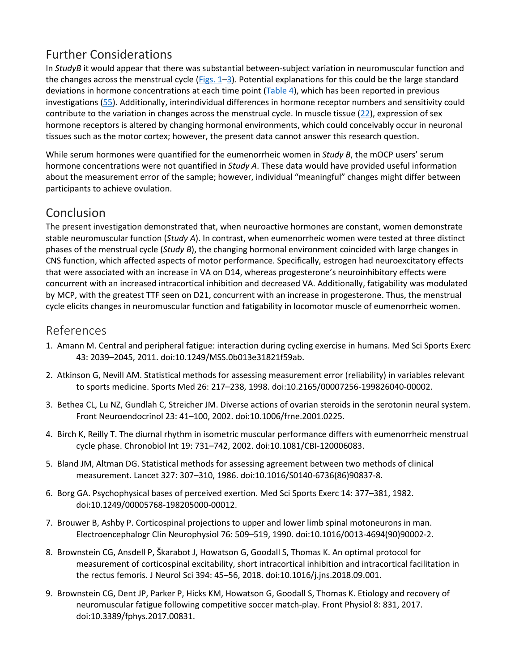# Further Considerations

In *StudyB* it would appear that there was substantial between-subject variation in neuromuscular function and the changes across the menstrual cycle ( $Figs. 1-3$ ). Potential explanations for this could be the large standard deviations in hormone concentrations at each time point [\(Table 4\)](https://www.physiology.org/doi/full/10.1152/japplphysiol.01041.2018#T4), which has been reported in previous investigations [\(55\)](https://www.physiology.org/doi/full/10.1152/japplphysiol.01041.2018#B55). Additionally, interindividual differences in hormone receptor numbers and sensitivity could contribute to the variation in changes across the menstrual cycle. In muscle tissue [\(22\)](https://www.physiology.org/doi/full/10.1152/japplphysiol.01041.2018#B22), expression of sex hormone receptors is altered by changing hormonal environments, which could conceivably occur in neuronal tissues such as the motor cortex; however, the present data cannot answer this research question.

While serum hormones were quantified for the eumenorrheic women in *Study B*, the mOCP users' serum hormone concentrations were not quantified in *Study A*. These data would have provided useful information about the measurement error of the sample; however, individual "meaningful" changes might differ between participants to achieve ovulation.

# Conclusion

The present investigation demonstrated that, when neuroactive hormones are constant, women demonstrate stable neuromuscular function (*Study A*). In contrast, when eumenorrheic women were tested at three distinct phases of the menstrual cycle (*Study B*), the changing hormonal environment coincided with large changes in CNS function, which affected aspects of motor performance. Specifically, estrogen had neuroexcitatory effects that were associated with an increase in VA on D14, whereas progesterone's neuroinhibitory effects were concurrent with an increased intracortical inhibition and decreased VA. Additionally, fatigability was modulated by MCP, with the greatest TTF seen on D21, concurrent with an increase in progesterone. Thus, the menstrual cycle elicits changes in neuromuscular function and fatigability in locomotor muscle of eumenorrheic women.

## References

- 1. Amann M. Central and peripheral fatigue: interaction during cycling exercise in humans. Med Sci Sports Exerc 43: 2039–2045, 2011. doi:10.1249/MSS.0b013e31821f59ab.
- 2. Atkinson G, Nevill AM. Statistical methods for assessing measurement error (reliability) in variables relevant to sports medicine. Sports Med 26: 217–238, 1998. doi:10.2165/00007256-199826040-00002.
- 3. Bethea CL, Lu NZ, Gundlah C, Streicher JM. Diverse actions of ovarian steroids in the serotonin neural system. Front Neuroendocrinol 23: 41–100, 2002. doi:10.1006/frne.2001.0225.
- 4. Birch K, Reilly T. The diurnal rhythm in isometric muscular performance differs with eumenorrheic menstrual cycle phase. Chronobiol Int 19: 731–742, 2002. doi:10.1081/CBI-120006083.
- 5. Bland JM, Altman DG. Statistical methods for assessing agreement between two methods of clinical measurement. Lancet 327: 307–310, 1986. doi:10.1016/S0140-6736(86)90837-8.
- 6. Borg GA. Psychophysical bases of perceived exertion. Med Sci Sports Exerc 14: 377–381, 1982. doi:10.1249/00005768-198205000-00012.
- 7. Brouwer B, Ashby P. Corticospinal projections to upper and lower limb spinal motoneurons in man. Electroencephalogr Clin Neurophysiol 76: 509–519, 1990. doi:10.1016/0013-4694(90)90002-2.
- 8. Brownstein CG, Ansdell P, Škarabot J, Howatson G, Goodall S, Thomas K. An optimal protocol for measurement of corticospinal excitability, short intracortical inhibition and intracortical facilitation in the rectus femoris. J Neurol Sci 394: 45–56, 2018. doi:10.1016/j.jns.2018.09.001.
- 9. Brownstein CG, Dent JP, Parker P, Hicks KM, Howatson G, Goodall S, Thomas K. Etiology and recovery of neuromuscular fatigue following competitive soccer match-play. Front Physiol 8: 831, 2017. doi:10.3389/fphys.2017.00831.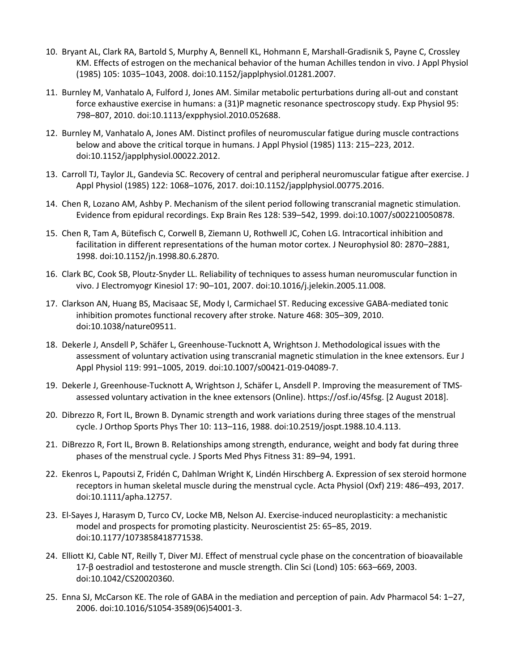- 10. Bryant AL, Clark RA, Bartold S, Murphy A, Bennell KL, Hohmann E, Marshall-Gradisnik S, Payne C, Crossley KM. Effects of estrogen on the mechanical behavior of the human Achilles tendon in vivo. J Appl Physiol (1985) 105: 1035–1043, 2008. doi:10.1152/japplphysiol.01281.2007.
- 11. Burnley M, Vanhatalo A, Fulford J, Jones AM. Similar metabolic perturbations during all-out and constant force exhaustive exercise in humans: a (31)P magnetic resonance spectroscopy study. Exp Physiol 95: 798–807, 2010. doi:10.1113/expphysiol.2010.052688.
- 12. Burnley M, Vanhatalo A, Jones AM. Distinct profiles of neuromuscular fatigue during muscle contractions below and above the critical torque in humans. J Appl Physiol (1985) 113: 215–223, 2012. doi:10.1152/japplphysiol.00022.2012.
- 13. Carroll TJ, Taylor JL, Gandevia SC. Recovery of central and peripheral neuromuscular fatigue after exercise. J Appl Physiol (1985) 122: 1068–1076, 2017. doi:10.1152/japplphysiol.00775.2016.
- 14. Chen R, Lozano AM, Ashby P. Mechanism of the silent period following transcranial magnetic stimulation. Evidence from epidural recordings. Exp Brain Res 128: 539–542, 1999. doi:10.1007/s002210050878.
- 15. Chen R, Tam A, Bütefisch C, Corwell B, Ziemann U, Rothwell JC, Cohen LG. Intracortical inhibition and facilitation in different representations of the human motor cortex. J Neurophysiol 80: 2870–2881, 1998. doi:10.1152/jn.1998.80.6.2870.
- 16. Clark BC, Cook SB, Ploutz-Snyder LL. Reliability of techniques to assess human neuromuscular function in vivo. J Electromyogr Kinesiol 17: 90–101, 2007. doi:10.1016/j.jelekin.2005.11.008.
- 17. Clarkson AN, Huang BS, Macisaac SE, Mody I, Carmichael ST. Reducing excessive GABA-mediated tonic inhibition promotes functional recovery after stroke. Nature 468: 305–309, 2010. doi:10.1038/nature09511.
- 18. Dekerle J, Ansdell P, Schäfer L, Greenhouse-Tucknott A, Wrightson J. Methodological issues with the assessment of voluntary activation using transcranial magnetic stimulation in the knee extensors. Eur J Appl Physiol 119: 991–1005, 2019. doi:10.1007/s00421-019-04089-7.
- 19. Dekerle J, Greenhouse-Tucknott A, Wrightson J, Schäfer L, Ansdell P. Improving the measurement of TMSassessed voluntary activation in the knee extensors (Online). https://osf.io/45fsg. [2 August 2018].
- 20. Dibrezzo R, Fort IL, Brown B. Dynamic strength and work variations during three stages of the menstrual cycle. J Orthop Sports Phys Ther 10: 113–116, 1988. doi:10.2519/jospt.1988.10.4.113.
- 21. DiBrezzo R, Fort IL, Brown B. Relationships among strength, endurance, weight and body fat during three phases of the menstrual cycle. J Sports Med Phys Fitness 31: 89–94, 1991.
- 22. Ekenros L, Papoutsi Z, Fridén C, Dahlman Wright K, Lindén Hirschberg A. Expression of sex steroid hormone receptors in human skeletal muscle during the menstrual cycle. Acta Physiol (Oxf) 219: 486–493, 2017. doi:10.1111/apha.12757.
- 23. El-Sayes J, Harasym D, Turco CV, Locke MB, Nelson AJ. Exercise-induced neuroplasticity: a mechanistic model and prospects for promoting plasticity. Neuroscientist 25: 65–85, 2019. doi:10.1177/1073858418771538.
- 24. Elliott KJ, Cable NT, Reilly T, Diver MJ. Effect of menstrual cycle phase on the concentration of bioavailable 17-β oestradiol and testosterone and muscle strength. Clin Sci (Lond) 105: 663–669, 2003. doi:10.1042/CS20020360.
- 25. Enna SJ, McCarson KE. The role of GABA in the mediation and perception of pain. Adv Pharmacol 54: 1–27, 2006. doi:10.1016/S1054-3589(06)54001-3.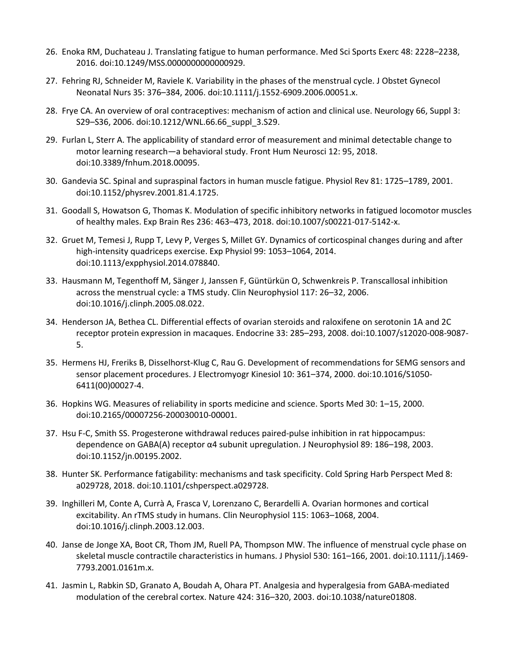- 26. Enoka RM, Duchateau J. Translating fatigue to human performance. Med Sci Sports Exerc 48: 2228–2238, 2016. doi:10.1249/MSS.0000000000000929.
- 27. Fehring RJ, Schneider M, Raviele K. Variability in the phases of the menstrual cycle. J Obstet Gynecol Neonatal Nurs 35: 376–384, 2006. doi:10.1111/j.1552-6909.2006.00051.x.
- 28. Frye CA. An overview of oral contraceptives: mechanism of action and clinical use. Neurology 66, Suppl 3: S29–S36, 2006. doi:10.1212/WNL.66.66\_suppl\_3.S29.
- 29. Furlan L, Sterr A. The applicability of standard error of measurement and minimal detectable change to motor learning research—a behavioral study. Front Hum Neurosci 12: 95, 2018. doi:10.3389/fnhum.2018.00095.
- 30. Gandevia SC. Spinal and supraspinal factors in human muscle fatigue. Physiol Rev 81: 1725–1789, 2001. doi:10.1152/physrev.2001.81.4.1725.
- 31. Goodall S, Howatson G, Thomas K. Modulation of specific inhibitory networks in fatigued locomotor muscles of healthy males. Exp Brain Res 236: 463–473, 2018. doi:10.1007/s00221-017-5142-x.
- 32. Gruet M, Temesi J, Rupp T, Levy P, Verges S, Millet GY. Dynamics of corticospinal changes during and after high-intensity quadriceps exercise. Exp Physiol 99: 1053–1064, 2014. doi:10.1113/expphysiol.2014.078840.
- 33. Hausmann M, Tegenthoff M, Sänger J, Janssen F, Güntürkün O, Schwenkreis P. Transcallosal inhibition across the menstrual cycle: a TMS study. Clin Neurophysiol 117: 26–32, 2006. doi:10.1016/j.clinph.2005.08.022.
- 34. Henderson JA, Bethea CL. Differential effects of ovarian steroids and raloxifene on serotonin 1A and 2C receptor protein expression in macaques. Endocrine 33: 285–293, 2008. doi:10.1007/s12020-008-9087- 5.
- 35. Hermens HJ, Freriks B, Disselhorst-Klug C, Rau G. Development of recommendations for SEMG sensors and sensor placement procedures. J Electromyogr Kinesiol 10: 361–374, 2000. doi:10.1016/S1050- 6411(00)00027-4.
- 36. Hopkins WG. Measures of reliability in sports medicine and science. Sports Med 30: 1–15, 2000. doi:10.2165/00007256-200030010-00001.
- 37. Hsu F-C, Smith SS. Progesterone withdrawal reduces paired-pulse inhibition in rat hippocampus: dependence on GABA(A) receptor α4 subunit upregulation. J Neurophysiol 89: 186–198, 2003. doi:10.1152/jn.00195.2002.
- 38. Hunter SK. Performance fatigability: mechanisms and task specificity. Cold Spring Harb Perspect Med 8: a029728, 2018. doi:10.1101/cshperspect.a029728.
- 39. Inghilleri M, Conte A, Currà A, Frasca V, Lorenzano C, Berardelli A. Ovarian hormones and cortical excitability. An rTMS study in humans. Clin Neurophysiol 115: 1063–1068, 2004. doi:10.1016/j.clinph.2003.12.003.
- 40. Janse de Jonge XA, Boot CR, Thom JM, Ruell PA, Thompson MW. The influence of menstrual cycle phase on skeletal muscle contractile characteristics in humans. J Physiol 530: 161–166, 2001. doi:10.1111/j.1469- 7793.2001.0161m.x.
- 41. Jasmin L, Rabkin SD, Granato A, Boudah A, Ohara PT. Analgesia and hyperalgesia from GABA-mediated modulation of the cerebral cortex. Nature 424: 316–320, 2003. doi:10.1038/nature01808.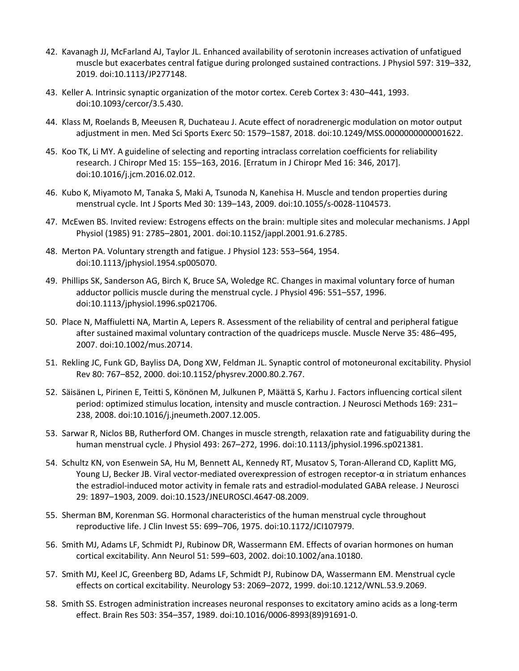- 42. Kavanagh JJ, McFarland AJ, Taylor JL. Enhanced availability of serotonin increases activation of unfatigued muscle but exacerbates central fatigue during prolonged sustained contractions. J Physiol 597: 319–332, 2019. doi:10.1113/JP277148.
- 43. Keller A. Intrinsic synaptic organization of the motor cortex. Cereb Cortex 3: 430–441, 1993. doi:10.1093/cercor/3.5.430.
- 44. Klass M, Roelands B, Meeusen R, Duchateau J. Acute effect of noradrenergic modulation on motor output adjustment in men. Med Sci Sports Exerc 50: 1579–1587, 2018. doi:10.1249/MSS.0000000000001622.
- 45. Koo TK, Li MY. A guideline of selecting and reporting intraclass correlation coefficients for reliability research. J Chiropr Med 15: 155–163, 2016. [Erratum in J Chiropr Med 16: 346, 2017]. doi:10.1016/j.jcm.2016.02.012.
- 46. Kubo K, Miyamoto M, Tanaka S, Maki A, Tsunoda N, Kanehisa H. Muscle and tendon properties during menstrual cycle. Int J Sports Med 30: 139–143, 2009. doi:10.1055/s-0028-1104573.
- 47. McEwen BS. Invited review: Estrogens effects on the brain: multiple sites and molecular mechanisms. J Appl Physiol (1985) 91: 2785–2801, 2001. doi:10.1152/jappl.2001.91.6.2785.
- 48. Merton PA. Voluntary strength and fatigue. J Physiol 123: 553–564, 1954. doi:10.1113/jphysiol.1954.sp005070.
- 49. Phillips SK, Sanderson AG, Birch K, Bruce SA, Woledge RC. Changes in maximal voluntary force of human adductor pollicis muscle during the menstrual cycle. J Physiol 496: 551–557, 1996. doi:10.1113/jphysiol.1996.sp021706.
- 50. Place N, Maffiuletti NA, Martin A, Lepers R. Assessment of the reliability of central and peripheral fatigue after sustained maximal voluntary contraction of the quadriceps muscle. Muscle Nerve 35: 486–495, 2007. doi:10.1002/mus.20714.
- 51. Rekling JC, Funk GD, Bayliss DA, Dong XW, Feldman JL. Synaptic control of motoneuronal excitability. Physiol Rev 80: 767–852, 2000. doi:10.1152/physrev.2000.80.2.767.
- 52. Säisänen L, Pirinen E, Teitti S, Könönen M, Julkunen P, Määttä S, Karhu J. Factors influencing cortical silent period: optimized stimulus location, intensity and muscle contraction. J Neurosci Methods 169: 231– 238, 2008. doi:10.1016/j.jneumeth.2007.12.005.
- 53. Sarwar R, Niclos BB, Rutherford OM. Changes in muscle strength, relaxation rate and fatiguability during the human menstrual cycle. J Physiol 493: 267–272, 1996. doi:10.1113/jphysiol.1996.sp021381.
- 54. Schultz KN, von Esenwein SA, Hu M, Bennett AL, Kennedy RT, Musatov S, Toran-Allerand CD, Kaplitt MG, Young LJ, Becker JB. Viral vector-mediated overexpression of estrogen receptor-α in striatum enhances the estradiol-induced motor activity in female rats and estradiol-modulated GABA release. J Neurosci 29: 1897–1903, 2009. doi:10.1523/JNEUROSCI.4647-08.2009.
- 55. Sherman BM, Korenman SG. Hormonal characteristics of the human menstrual cycle throughout reproductive life. J Clin Invest 55: 699–706, 1975. doi:10.1172/JCI107979.
- 56. Smith MJ, Adams LF, Schmidt PJ, Rubinow DR, Wassermann EM. Effects of ovarian hormones on human cortical excitability. Ann Neurol 51: 599–603, 2002. doi:10.1002/ana.10180.
- 57. Smith MJ, Keel JC, Greenberg BD, Adams LF, Schmidt PJ, Rubinow DA, Wassermann EM. Menstrual cycle effects on cortical excitability. Neurology 53: 2069–2072, 1999. doi:10.1212/WNL.53.9.2069.
- 58. Smith SS. Estrogen administration increases neuronal responses to excitatory amino acids as a long-term effect. Brain Res 503: 354–357, 1989. doi:10.1016/0006-8993(89)91691-0.